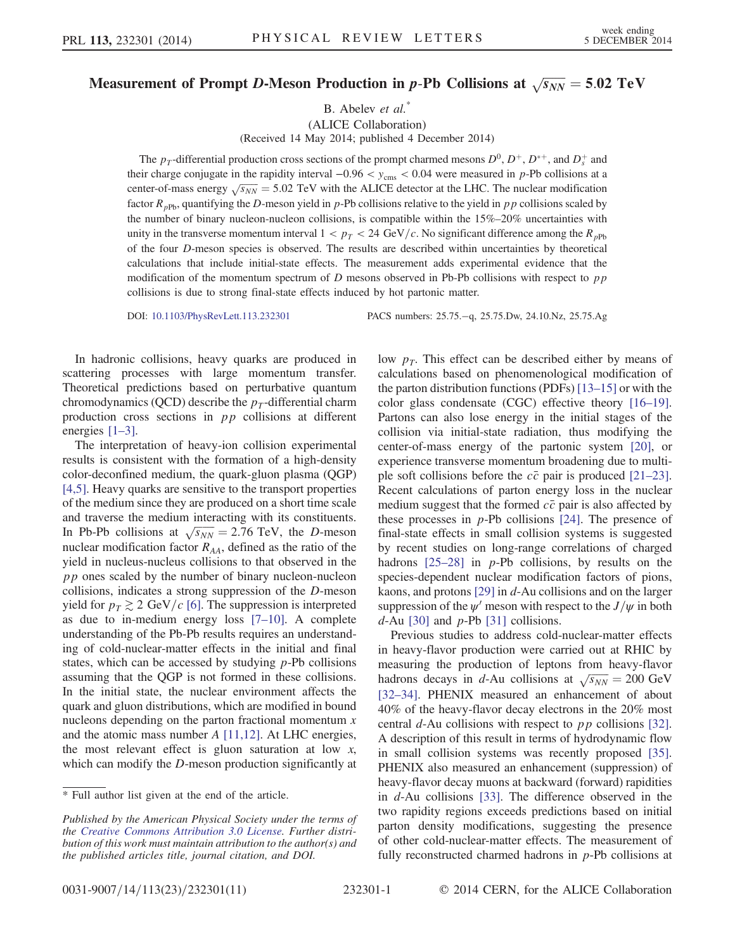## Measurement of Prompt D-Meson Production in  $p$ -Pb Collisions at  $\sqrt{s_{NN}} = 5.02 \,\, \mathrm{TeV}$

B. Abelev et al.<sup>\*</sup>

(ALICE Collaboration) (Received 14 May 2014; published 4 December 2014)

The  $p_T$ -differential production cross sections of the prompt charmed mesons  $D^0$ ,  $D^+$ ,  $D^{*+}$ , and  $D_s^+$  and their charge conjugate in the rapidity interval  $-0.96 < y_{\rm cms} < 0.04$  were measured in p-Pb collisions at a center-of-mass energy  $\sqrt{s_{NN}}$  = 5.02 TeV with the ALICE detector at the LHC. The nuclear modification factor  $R_{pPb}$ , quantifying the D-meson yield in p-Pb collisions relative to the yield in pp collisions scaled by the number of binary nucleon-nucleon collisions, is compatible within the 15%–20% uncertainties with unity in the transverse momentum interval  $1 < p_T < 24 \text{ GeV}/c$ . No significant difference among the  $R_{pPb}$ of the four D-meson species is observed. The results are described within uncertainties by theoretical calculations that include initial-state effects. The measurement adds experimental evidence that the modification of the momentum spectrum of  $D$  mesons observed in Pb-Pb collisions with respect to  $pp$ collisions is due to strong final-state effects induced by hot partonic matter.

DOI: [10.1103/PhysRevLett.113.232301](http://dx.doi.org/10.1103/PhysRevLett.113.232301) PACS numbers: 25.75.−q, 25.75.Dw, 24.10.Nz, 25.75.Ag

In hadronic collisions, heavy quarks are produced in scattering processes with large momentum transfer. Theoretical predictions based on perturbative quantum chromodynamics (QCD) describe the  $p_T$ -differential charm production cross sections in pp collisions at different energies [1–[3\].](#page-4-0)

The interpretation of heavy-ion collision experimental results is consistent with the formation of a high-density color-deconfined medium, the quark-gluon plasma (QGP) [\[4,5\].](#page-5-0) Heavy quarks are sensitive to the transport properties of the medium since they are produced on a short time scale and traverse the medium interacting with its constituents. In Pb-Pb collisions at  $\sqrt{s_{NN}} = 2.76$  TeV, the D-meson nuclear modification factor  $R_{AA}$ , defined as the ratio of the yield in nucleus-nucleus collisions to that observed in the pp ones scaled by the number of binary nucleon-nucleon collisions, indicates a strong suppression of the D-meson yield for  $p<sub>T</sub> \gtrsim 2 \text{ GeV}/c$  [\[6\]](#page-5-1). The suppression is interpreted as due to in-medium energy loss [7–[10\].](#page-5-2) A complete understanding of the Pb-Pb results requires an understanding of cold-nuclear-matter effects in the initial and final states, which can be accessed by studying  $p$ -Pb collisions assuming that the QGP is not formed in these collisions. In the initial state, the nuclear environment affects the quark and gluon distributions, which are modified in bound nucleons depending on the parton fractional momentum  $x$ and the atomic mass number A [\[11,12\].](#page-5-3) At LHC energies, the most relevant effect is gluon saturation at low  $x$ , which can modify the D-meson production significantly at low  $p<sub>T</sub>$ . This effect can be described either by means of calculations based on phenomenological modification of the parton distribution functions (PDFs) [13–[15\]](#page-5-4) or with the color glass condensate (CGC) effective theory [\[16](#page-5-5)–19]. Partons can also lose energy in the initial stages of the collision via initial-state radiation, thus modifying the center-of-mass energy of the partonic system [\[20\],](#page-5-6) or experience transverse momentum broadening due to multiple soft collisions before the  $c\bar{c}$  pair is produced [\[21](#page-5-7)–23]. Recent calculations of parton energy loss in the nuclear medium suggest that the formed  $c\bar{c}$  pair is also affected by these processes in  $p$ -Pb collisions [\[24\].](#page-5-8) The presence of final-state effects in small collision systems is suggested by recent studies on long-range correlations of charged hadrons  $[25-28]$  $[25-28]$  in p-Pb collisions, by results on the species-dependent nuclear modification factors of pions, kaons, and protons [\[29\]](#page-5-10) in d-Au collisions and on the larger suppression of the  $\psi'$  meson with respect to the  $J/\psi$  in both  $d$ -Au [\[30\]](#page-5-11) and  $p$ -Pb [\[31\]](#page-5-12) collisions.

Previous studies to address cold-nuclear-matter effects in heavy-flavor production were carried out at RHIC by measuring the production of leptons from heavy-flavor hadrons decays in d-Au collisions at  $\sqrt{s_{NN}} = 200 \text{ GeV}$ [\[32](#page-5-13)–34]. PHENIX measured an enhancement of about 40% of the heavy-flavor decay electrons in the 20% most central  $d$ -Au collisions with respect to  $p p$  collisions [\[32\]](#page-5-13). A description of this result in terms of hydrodynamic flow in small collision systems was recently proposed [\[35\]](#page-5-14). PHENIX also measured an enhancement (suppression) of heavy-flavor decay muons at backward (forward) rapidities in d-Au collisions [\[33\].](#page-5-15) The difference observed in the two rapidity regions exceeds predictions based on initial parton density modifications, suggesting the presence of other cold-nuclear-matter effects. The measurement of fully reconstructed charmed hadrons in  $p$ -Pb collisions at

<sup>\*</sup> Full author list given at the end of the article.

Published by the American Physical Society under the terms of the [Creative Commons Attribution 3.0 License.](http://creativecommons.org/licenses/by/3.0/) Further distribution of this work must maintain attribution to the author(s) and the published articles title, journal citation, and DOI.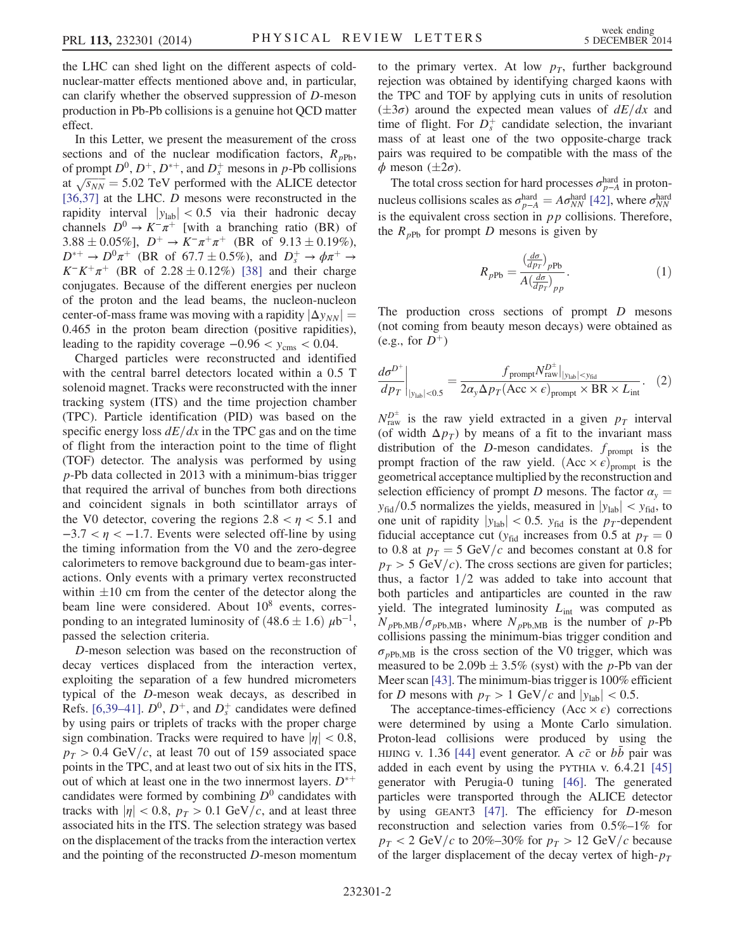the LHC can shed light on the different aspects of coldnuclear-matter effects mentioned above and, in particular, can clarify whether the observed suppression of D-meson production in Pb-Pb collisions is a genuine hot QCD matter effect.

In this Letter, we present the measurement of the cross sections and of the nuclear modification factors,  $R_{pPb}$ , of prompt  $D^0$ ,  $D^+$ ,  $D^{*+}$ , and  $D_s^+$  mesons in p-Pb collisions at  $\sqrt{s_{NN}}$  = 5.02 TeV performed with the ALICE detector [\[36,37\]](#page-5-16) at the LHC. D mesons were reconstructed in the rapidity interval  $|y_{lab}| < 0.5$  via their hadronic decay channels  $D^0 \rightarrow K^-\pi^+$  [with a branching ratio (BR) of 3.88 ± 0.05%],  $D^+ \to K^-\pi^+\pi^+$  (BR of 9.13 ± 0.19%),  $D^{*+} \rightarrow D^0 \pi^+$  (BR of 67.7 ± 0.5%), and  $D_s^+ \rightarrow \phi \pi^+ \rightarrow$  $K^-K^+\pi^+$  (BR of 2.28 ± 0.12%) [\[38\]](#page-5-17) and their charge conjugates. Because of the different energies per nucleon of the proton and the lead beams, the nucleon-nucleon center-of-mass frame was moving with a rapidity  $|\Delta y_{NN}| =$ 0.465 in the proton beam direction (positive rapidities), leading to the rapidity coverage  $-0.96 < y_{\rm cms} < 0.04$ .

Charged particles were reconstructed and identified with the central barrel detectors located within a 0.5 T solenoid magnet. Tracks were reconstructed with the inner tracking system (ITS) and the time projection chamber (TPC). Particle identification (PID) was based on the specific energy loss  $dE/dx$  in the TPC gas and on the time of flight from the interaction point to the time of flight (TOF) detector. The analysis was performed by using p-Pb data collected in 2013 with a minimum-bias trigger that required the arrival of bunches from both directions and coincident signals in both scintillator arrays of the V0 detector, covering the regions  $2.8 < \eta < 5.1$  and  $-3.7 < \eta < -1.7$ . Events were selected off-line by using the timing information from the V0 and the zero-degree calorimeters to remove background due to beam-gas interactions. Only events with a primary vertex reconstructed within  $\pm 10$  cm from the center of the detector along the beam line were considered. About  $10^8$  events, corresponding to an integrated luminosity of  $(48.6 \pm 1.6) \mu b^{-1}$ , passed the selection criteria.

D-meson selection was based on the reconstruction of decay vertices displaced from the interaction vertex, exploiting the separation of a few hundred micrometers typical of the D-meson weak decays, as described in Refs. [\[6,39](#page-5-1)–41].  $D^0$ ,  $D^+$ , and  $D_s^+$  candidates were defined by using pairs or triplets of tracks with the proper charge sign combination. Tracks were required to have  $|\eta| < 0.8$ ,  $p_T > 0.4$  GeV/c, at least 70 out of 159 associated space points in the TPC, and at least two out of six hits in the ITS, out of which at least one in the two innermost layers.  $D^{*+}$ candidates were formed by combining  $D^0$  candidates with tracks with  $|\eta| < 0.8$ ,  $p_T > 0.1$  GeV/c, and at least three associated hits in the ITS. The selection strategy was based on the displacement of the tracks from the interaction vertex and the pointing of the reconstructed D-meson momentum to the primary vertex. At low  $p<sub>T</sub>$ , further background rejection was obtained by identifying charged kaons with the TPC and TOF by applying cuts in units of resolution  $(\pm 3\sigma)$  around the expected mean values of  $dE/dx$  and time of flight. For  $D_s^+$  candidate selection, the invariant mass of at least one of the two opposite-charge track pairs was required to be compatible with the mass of the  $\phi$  meson ( $\pm 2\sigma$ ).

The total cross section for hard processes  $\sigma_{p-A}^{\text{hard}}$  in protonnucleus collisions scales as  $\sigma_{p-A}^{\text{hard}} = A \sigma_{NN}^{\text{hard}}$  [\[42\]](#page-5-18), where  $\sigma_{NN}^{\text{hard}}$ is the equivalent cross section in  $pp$  collisions. Therefore, the  $R_{pPb}$  for prompt D mesons is given by

$$
R_{pPb} = \frac{\left(\frac{d\sigma}{dp_T}\right)_{pPb}}{A\left(\frac{d\sigma}{dp_T}\right)_{pp}}.\tag{1}
$$

The production cross sections of prompt  $D$  mesons (not coming from beauty meson decays) were obtained as  $(e.g., for D^+)$ 

$$
\left. \frac{d\sigma^{D^+}}{dp_T} \right|_{|y_{lab}| < 0.5} = \frac{f_{\text{prompt}} N_{\text{raw}}^{D^+}|_{|y_{lab}| < y_{fid}}}{2\alpha_y \Delta p_T (\text{Acc} \times \epsilon)_{\text{prompt}} \times \text{BR} \times L_{\text{int}}}.\tag{2}
$$

 $N_{\text{raw}}^{D^{\pm}}$  is the raw yield extracted in a given  $p_T$  interval (of width  $\Delta p_T$ ) by means of a fit to the invariant mass distribution of the D-meson candidates.  $f_{\text{prompt}}$  is the prompt fraction of the raw yield.  $(Acc \times \epsilon)_{prompt}$  is the geometrical acceptance multiplied by the reconstruction and selection efficiency of prompt D mesons. The factor  $\alpha_{v} =$  $y_{\text{fid}}/0.5$  normalizes the yields, measured in  $|y_{\text{lab}}| < y_{\text{fid}}$ , to one unit of rapidity  $|y_{lab}| < 0.5$ .  $y_{fid}$  is the  $p_T$ -dependent fiducial acceptance cut ( $y_{\text{fid}}$  increases from 0.5 at  $p_T = 0$ to 0.8 at  $p_T = 5 \text{ GeV}/c$  and becomes constant at 0.8 for  $p_T > 5$  GeV/c). The cross sections are given for particles; thus, a factor  $1/2$  was added to take into account that both particles and antiparticles are counted in the raw yield. The integrated luminosity  $L_{int}$  was computed as  $N_{pPb,MB}/\sigma_{pPb,MB}$ , where  $N_{pPb,MB}$  is the number of p-Pb collisions passing the minimum-bias trigger condition and  $\sigma_{pPb,MB}$  is the cross section of the V0 trigger, which was measured to be  $2.09b \pm 3.5\%$  (syst) with the p-Pb van der Meer scan [\[43\]](#page-5-19). The minimum-bias trigger is  $100\%$  efficient for D mesons with  $p_T > 1$  GeV/c and  $|y_{lab}| < 0.5$ .

The acceptance-times-efficiency  $(Acc \times \epsilon)$  corrections were determined by using a Monte Carlo simulation. Proton-lead collisions were produced by using the HIJING v. 1.36 [\[44\]](#page-5-20) event generator. A  $c\bar{c}$  or bb pair was added in each event by using the PYTHIA v. 6.4.21 [\[45\]](#page-5-21) generator with Perugia-0 tuning [\[46\]](#page-5-22). The generated particles were transported through the ALICE detector by using GEANT3 [\[47\].](#page-5-23) The efficiency for D-meson reconstruction and selection varies from 0.5%–1% for  $p_T < 2$  GeV/c to 20%–30% for  $p_T > 12$  GeV/c because of the larger displacement of the decay vertex of high- $p<sub>T</sub>$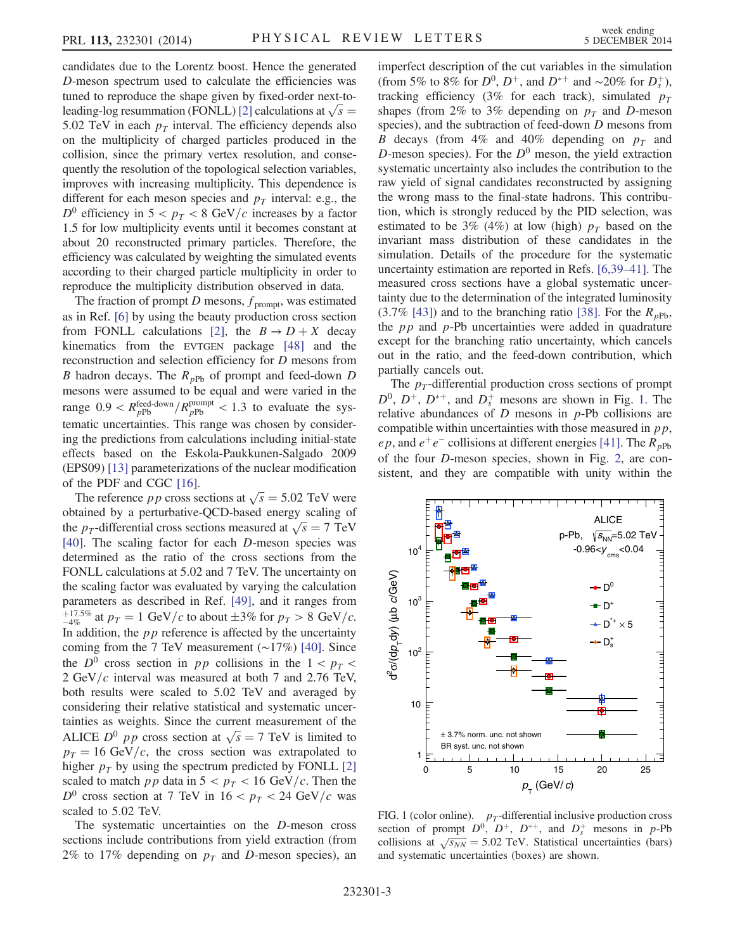candidates due to the Lorentz boost. Hence the generated D-meson spectrum used to calculate the efficiencies was tuned to reproduce the shape given by fixed-order next-to-leading-log resummation (FONLL) [\[2\]](#page-4-1) calculations at  $\sqrt{s}$  = 5.02 TeV in each  $p<sub>T</sub>$  interval. The efficiency depends also on the multiplicity of charged particles produced in the collision, since the primary vertex resolution, and consequently the resolution of the topological selection variables, improves with increasing multiplicity. This dependence is different for each meson species and  $p<sub>T</sub>$  interval: e.g., the  $D^0$  efficiency in  $5 < p_T < 8$  GeV/c increases by a factor 1.5 for low multiplicity events until it becomes constant at about 20 reconstructed primary particles. Therefore, the efficiency was calculated by weighting the simulated events according to their charged particle multiplicity in order to reproduce the multiplicity distribution observed in data.

The fraction of prompt D mesons,  $f_{\text{prompt}}$ , was estimated as in Ref. [\[6\]](#page-5-1) by using the beauty production cross section from FONLL calculations [\[2\]](#page-4-1), the  $B \to D + X$  decay kinematics from the EVTGEN package [\[48\]](#page-5-24) and the reconstruction and selection efficiency for D mesons from B hadron decays. The  $R_{pPb}$  of prompt and feed-down D mesons were assumed to be equal and were varied in the range  $0.9 < R_{pPb}^{\text{feed-down}} / R_{pPb}^{\text{prompt}} < 1.3$  to evaluate the systematic uncertainties. This range was chosen by considering the predictions from calculations including initial-state effects based on the Eskola-Paukkunen-Salgado 2009 (EPS09) [\[13\]](#page-5-4) parameterizations of the nuclear modification of the PDF and CGC [\[16\]](#page-5-5).

The reference *pp* cross sections at  $\sqrt{s} = 5.02$  TeV were obtained by a perturbative-QCD-based energy scaling of the *p<sub>T</sub>*-differential cross sections measured at  $\sqrt{s} = 7$  TeV [\[40\]](#page-5-25). The scaling factor for each D-meson species was determined as the ratio of the cross sections from the FONLL calculations at 5.02 and 7 TeV. The uncertainty on the scaling factor was evaluated by varying the calculation parameters as described in Ref. [\[49\],](#page-5-26) and it ranges from  $p_T^{\text{+17.5%}}$  at  $p_T = 1 \text{ GeV}/c$  to about  $\pm 3\%$  for  $p_T > 8 \text{ GeV}/c$ . In addition, the  $pp$  reference is affected by the uncertainty coming from the 7 TeV measurement (∼17%) [\[40\].](#page-5-25) Since the  $D^0$  cross section in pp collisions in the  $1 < p<sub>T</sub>$ 2 GeV/ $c$  interval was measured at both 7 and 2.76 TeV, both results were scaled to 5.02 TeV and averaged by considering their relative statistical and systematic uncertainties as weights. Since the current measurement of the ALICE  $D^0$  pp cross section at  $\sqrt{s} = 7$  TeV is limited to  $p_T = 16 \text{ GeV}/c$ , the cross section was extrapolated to higher  $p_T$  by using the spectrum predicted by FONLL [\[2\]](#page-4-1) scaled to match pp data in  $5 < p_T < 16$  GeV/c. Then the  $D^0$  cross section at 7 TeV in  $16 < p_T < 24$  GeV/c was scaled to 5.02 TeV.

The systematic uncertainties on the D-meson cross sections include contributions from yield extraction (from 2% to 17% depending on  $p<sub>T</sub>$  and D-meson species), an imperfect description of the cut variables in the simulation (from 5% to 8% for  $D^0$ ,  $D^+$ , and  $D^{*+}$  and ~20% for  $D_s^+$ ), tracking efficiency (3% for each track), simulated  $p_T$ shapes (from 2% to 3% depending on  $p_T$  and D-meson species), and the subtraction of feed-down D mesons from B decays (from 4% and 40% depending on  $p_T$  and D-meson species). For the  $D^0$  meson, the yield extraction systematic uncertainty also includes the contribution to the raw yield of signal candidates reconstructed by assigning the wrong mass to the final-state hadrons. This contribution, which is strongly reduced by the PID selection, was estimated to be 3% (4%) at low (high)  $p<sub>T</sub>$  based on the invariant mass distribution of these candidates in the simulation. Details of the procedure for the systematic uncertainty estimation are reported in Refs. [\[6,39](#page-5-1)–41]. The measured cross sections have a global systematic uncertainty due to the determination of the integrated luminosity  $(3.7\%$  [\[43\]\)](#page-5-19) and to the branching ratio [\[38\].](#page-5-17) For the  $R_{pPb}$ , the  $pp$  and  $p$ -Pb uncertainties were added in quadrature except for the branching ratio uncertainty, which cancels out in the ratio, and the feed-down contribution, which partially cancels out.

The  $p_T$ -differential production cross sections of prompt  $D^0$ ,  $D^+$ ,  $D^{*+}$ , and  $D_s^+$  mesons are shown in Fig. [1](#page-2-0). The relative abundances of  $D$  mesons in  $p$ -Pb collisions are compatible within uncertainties with those measured in  $pp$ , ep, and  $e^+e^-$  collisions at different energies [\[41\].](#page-5-27) The  $R_{pPb}$ of the four D-meson species, shown in Fig. [2](#page-3-0), are consistent, and they are compatible with unity within the

<span id="page-2-0"></span>

FIG. 1 (color online).  $p_T$ -differential inclusive production cross section of prompt  $D^0$ ,  $D^+$ ,  $D^{*+}$ , and  $D_s^+$  mesons in p-Pb collisions at  $\sqrt{s_{NN}}$  = 5.02 TeV. Statistical uncertainties (bars) and systematic uncertainties (boxes) are shown.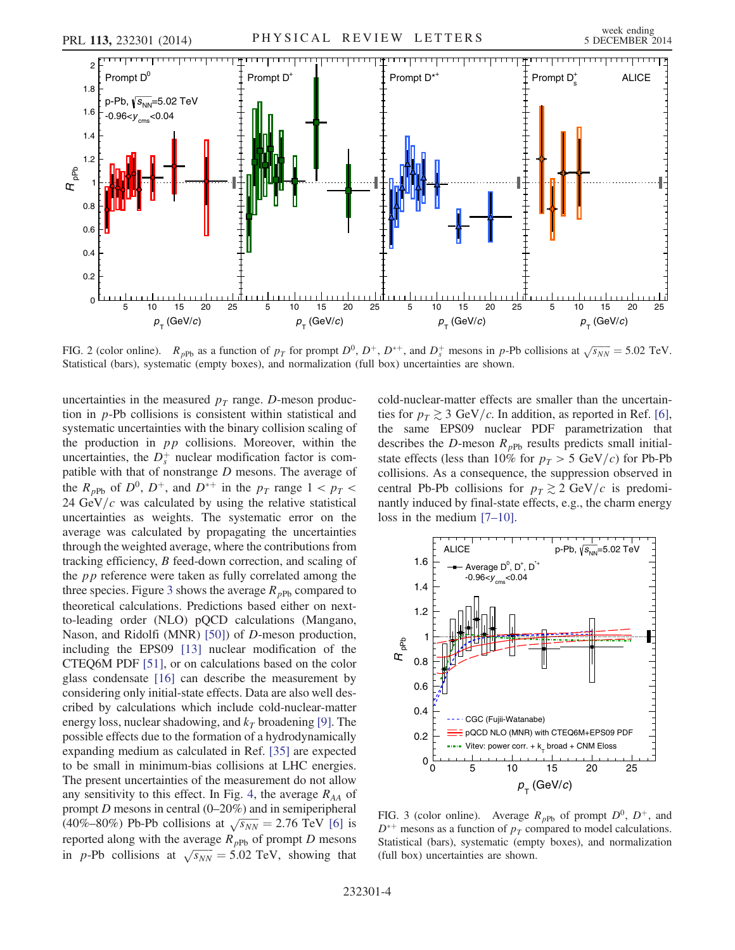<span id="page-3-0"></span>

FIG. 2 (color online).  $R_{pPb}$  as a function of  $p_T$  for prompt  $D^0$ ,  $D^+$ ,  $D^{*+}$ , and  $D_s^+$  mesons in p-Pb collisions at  $\sqrt{s_{NN}} = 5.02$  TeV. Statistical (bars), systematic (empty boxes), and normalization (full box) uncertainties are shown.

uncertainties in the measured  $p_T$  range. D-meson production in p-Pb collisions is consistent within statistical and systematic uncertainties with the binary collision scaling of the production in  $pp$  collisions. Moreover, within the uncertainties, the  $D_s^+$  nuclear modification factor is compatible with that of nonstrange  $D$  mesons. The average of the  $R_{pPb}$  of  $D^0$ ,  $D^+$ , and  $D^{*+}$  in the  $p_T$  range  $1 < p_T <$ 24 GeV/ $c$  was calculated by using the relative statistical uncertainties as weights. The systematic error on the average was calculated by propagating the uncertainties through the weighted average, where the contributions from tracking efficiency, B feed-down correction, and scaling of the pp reference were taken as fully correlated among the three species. Figure [3](#page-3-1) shows the average  $R_{pPb}$  compared to theoretical calculations. Predictions based either on nextto-leading order (NLO) pQCD calculations (Mangano, Nason, and Ridolfi (MNR) [\[50\]\)](#page-5-28) of D-meson production, including the EPS09 [\[13\]](#page-5-4) nuclear modification of the CTEQ6M PDF [\[51\]](#page-5-29), or on calculations based on the color glass condensate [\[16\]](#page-5-5) can describe the measurement by considering only initial-state effects. Data are also well described by calculations which include cold-nuclear-matter energy loss, nuclear shadowing, and  $k<sub>T</sub>$  broadening [\[9\]](#page-5-30). The possible effects due to the formation of a hydrodynamically expanding medium as calculated in Ref. [\[35\]](#page-5-14) are expected to be small in minimum-bias collisions at LHC energies. The present uncertainties of the measurement do not allow any sensitivity to this effect. In Fig. [4](#page-4-2), the average  $R_{AA}$  of prompt D mesons in central (0–20%) and in semiperipheral (40%–80%) Pb-Pb collisions at  $\sqrt{s_{NN}} = 2.76 \text{ TeV}$  [\[6\]](#page-5-1) is reported along with the average  $R_{pPb}$  of prompt D mesons in p-Pb collisions at  $\sqrt{s_{NN}} = 5.02 \text{ TeV}$ , showing that cold-nuclear-matter effects are smaller than the uncertainties for  $p<sub>T</sub> \gtrsim 3$  GeV/c. In addition, as reported in Ref. [\[6\]](#page-5-1), the same EPS09 nuclear PDF parametrization that describes the D-meson  $R_{pPb}$  results predicts small initialstate effects (less than 10% for  $p_T > 5$  GeV/c) for Pb-Pb collisions. As a consequence, the suppression observed in central Pb-Pb collisions for  $p_T \gtrsim 2 \text{ GeV}/c$  is predominantly induced by final-state effects, e.g., the charm energy loss in the medium [7–[10\]](#page-5-2).

<span id="page-3-1"></span>

FIG. 3 (color online). Average  $R_{pPb}$  of prompt  $D^0$ ,  $D^+$ , and  $D^{*+}$  mesons as a function of  $p_T$  compared to model calculations. Statistical (bars), systematic (empty boxes), and normalization (full box) uncertainties are shown.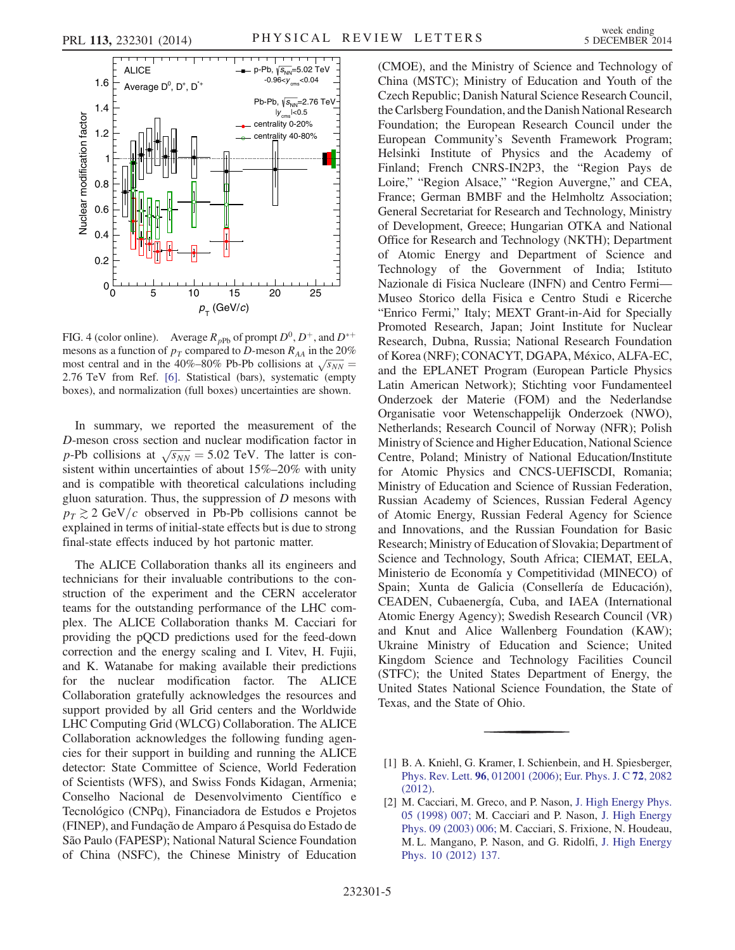<span id="page-4-2"></span>

FIG. 4 (color online). Average  $R_{pPb}$  of prompt  $D^0$ ,  $D^+$ , and  $D^{*+}$ mesons as a function of  $p_T$  compared to D-meson  $R_{AA}$  in the 20% most central and in the 40%–80% Pb-Pb collisions at  $\sqrt{s_{NN}} =$ 2.76 TeV from Ref. [\[6\]](#page-5-1). Statistical (bars), systematic (empty boxes), and normalization (full boxes) uncertainties are shown.

In summary, we reported the measurement of the D-meson cross section and nuclear modification factor in p-Pb collisions at  $\sqrt{s_{NN}} = 5.02$  TeV. The latter is consistent within uncertainties of about 15%–20% with unity and is compatible with theoretical calculations including gluon saturation. Thus, the suppression of  $D$  mesons with  $p<sub>T</sub> \gtrsim 2 \text{ GeV}/c$  observed in Pb-Pb collisions cannot be explained in terms of initial-state effects but is due to strong final-state effects induced by hot partonic matter.

The ALICE Collaboration thanks all its engineers and technicians for their invaluable contributions to the construction of the experiment and the CERN accelerator teams for the outstanding performance of the LHC complex. The ALICE Collaboration thanks M. Cacciari for providing the pQCD predictions used for the feed-down correction and the energy scaling and I. Vitev, H. Fujii, and K. Watanabe for making available their predictions for the nuclear modification factor. The ALICE Collaboration gratefully acknowledges the resources and support provided by all Grid centers and the Worldwide LHC Computing Grid (WLCG) Collaboration. The ALICE Collaboration acknowledges the following funding agencies for their support in building and running the ALICE detector: State Committee of Science, World Federation of Scientists (WFS), and Swiss Fonds Kidagan, Armenia; Conselho Nacional de Desenvolvimento Científico e Tecnológico (CNPq), Financiadora de Estudos e Projetos (FINEP), and Fundação de Amparo á Pesquisa do Estado de São Paulo (FAPESP); National Natural Science Foundation of China (NSFC), the Chinese Ministry of Education (CMOE), and the Ministry of Science and Technology of China (MSTC); Ministry of Education and Youth of the Czech Republic; Danish Natural Science Research Council, the Carlsberg Foundation, and the Danish National Research Foundation; the European Research Council under the European Community's Seventh Framework Program; Helsinki Institute of Physics and the Academy of Finland; French CNRS-IN2P3, the "Region Pays de Loire," "Region Alsace," "Region Auvergne," and CEA, France; German BMBF and the Helmholtz Association; General Secretariat for Research and Technology, Ministry of Development, Greece; Hungarian OTKA and National Office for Research and Technology (NKTH); Department of Atomic Energy and Department of Science and Technology of the Government of India; Istituto Nazionale di Fisica Nucleare (INFN) and Centro Fermi— Museo Storico della Fisica e Centro Studi e Ricerche "Enrico Fermi," Italy; MEXT Grant-in-Aid for Specially Promoted Research, Japan; Joint Institute for Nuclear Research, Dubna, Russia; National Research Foundation of Korea (NRF); CONACYT, DGAPA, México, ALFA-EC, and the EPLANET Program (European Particle Physics Latin American Network); Stichting voor Fundamenteel Onderzoek der Materie (FOM) and the Nederlandse Organisatie voor Wetenschappelijk Onderzoek (NWO), Netherlands; Research Council of Norway (NFR); Polish Ministry of Science and Higher Education, National Science Centre, Poland; Ministry of National Education/Institute for Atomic Physics and CNCS-UEFISCDI, Romania; Ministry of Education and Science of Russian Federation, Russian Academy of Sciences, Russian Federal Agency of Atomic Energy, Russian Federal Agency for Science and Innovations, and the Russian Foundation for Basic Research; Ministry of Education of Slovakia; Department of Science and Technology, South Africa; CIEMAT, EELA, Ministerio de Economía y Competitividad (MINECO) of Spain; Xunta de Galicia (Consellería de Educación), CEADEN, Cubaenergía, Cuba, and IAEA (International Atomic Energy Agency); Swedish Research Council (VR) and Knut and Alice Wallenberg Foundation (KAW); Ukraine Ministry of Education and Science; United Kingdom Science and Technology Facilities Council (STFC); the United States Department of Energy, the United States National Science Foundation, the State of Texas, and the State of Ohio.

<span id="page-4-0"></span><sup>[1]</sup> B. A. Kniehl, G. Kramer, I. Schienbein, and H. Spiesberger, Phys. Rev. Lett. 96[, 012001 \(2006\);](http://dx.doi.org/10.1103/PhysRevLett.96.012001) [Eur. Phys. J. C](http://dx.doi.org/10.1140/epjc/s10052-012-2082-2) 72, 2082 [\(2012\).](http://dx.doi.org/10.1140/epjc/s10052-012-2082-2)

<span id="page-4-1"></span><sup>[2]</sup> M. Cacciari, M. Greco, and P. Nason, [J. High Energy Phys.](http://dx.doi.org/10.1088/1126-6708/1998/05/007) [05 \(1998\) 007;](http://dx.doi.org/10.1088/1126-6708/1998/05/007) M. Cacciari and P. Nason, [J. High Energy](http://dx.doi.org/10.1088/1126-6708/2003/09/006) [Phys. 09 \(2003\) 006;](http://dx.doi.org/10.1088/1126-6708/2003/09/006) M. Cacciari, S. Frixione, N. Houdeau, M. L. Mangano, P. Nason, and G. Ridolfi, [J. High Energy](http://dx.doi.org/10.1007/JHEP10(2012)137) [Phys. 10 \(2012\) 137.](http://dx.doi.org/10.1007/JHEP10(2012)137)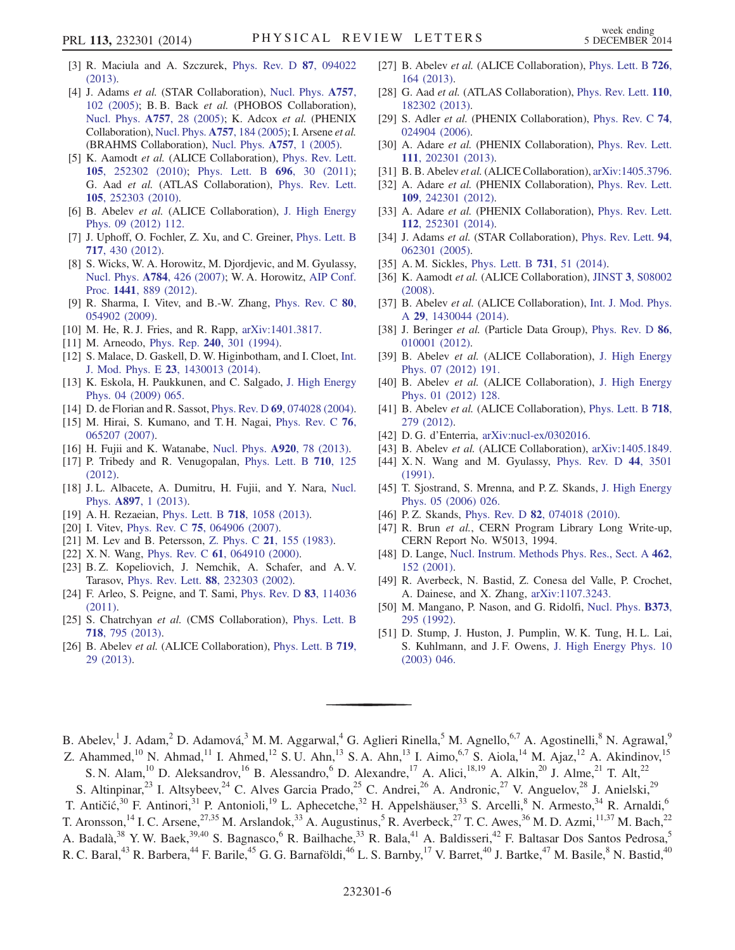- [3] R. Maciula and A. Szczurek, [Phys. Rev. D](http://dx.doi.org/10.1103/PhysRevD.87.094022) 87, 094022 [\(2013\).](http://dx.doi.org/10.1103/PhysRevD.87.094022)
- <span id="page-5-0"></span>[4] J. Adams et al. (STAR Collaboration), [Nucl. Phys.](http://dx.doi.org/10.1016/j.nuclphysa.2005.03.085) A757, [102 \(2005\)](http://dx.doi.org/10.1016/j.nuclphysa.2005.03.085); B. B. Back et al. (PHOBOS Collaboration), [Nucl. Phys.](http://dx.doi.org/10.1016/j.nuclphysa.2005.03.084) A757, 28 (2005); K. Adcox et al. (PHENIX Collaboration), Nucl. Phys. A757[, 184 \(2005\)](http://dx.doi.org/10.1016/j.nuclphysa.2005.03.086); I. Arsene et al. (BRAHMS Collaboration), [Nucl. Phys.](http://dx.doi.org/10.1016/j.nuclphysa.2005.02.130) A757, 1 (2005).
- [5] K. Aamodt et al. (ALICE Collaboration), [Phys. Rev. Lett.](http://dx.doi.org/10.1103/PhysRevLett.105.252302) 105[, 252302 \(2010\);](http://dx.doi.org/10.1103/PhysRevLett.105.252302) [Phys. Lett. B](http://dx.doi.org/10.1016/j.physletb.2010.12.020) 696, 30 (2011); G. Aad et al. (ATLAS Collaboration), [Phys. Rev. Lett.](http://dx.doi.org/10.1103/PhysRevLett.105.252303) 105[, 252303 \(2010\).](http://dx.doi.org/10.1103/PhysRevLett.105.252303)
- <span id="page-5-1"></span>[6] B. Abelev et al. (ALICE Collaboration), [J. High Energy](http://dx.doi.org/10.1007/JHEP09(2012)112) [Phys. 09 \(2012\) 112.](http://dx.doi.org/10.1007/JHEP09(2012)112)
- <span id="page-5-2"></span>[7] J. Uphoff, O. Fochler, Z. Xu, and C. Greiner, [Phys. Lett. B](http://dx.doi.org/10.1016/j.physletb.2012.09.069) 717[, 430 \(2012\)](http://dx.doi.org/10.1016/j.physletb.2012.09.069).
- [8] S. Wicks, W. A. Horowitz, M. Djordjevic, and M. Gyulassy, Nucl. Phys. A784[, 426 \(2007\)](http://dx.doi.org/10.1016/j.nuclphysa.2006.12.048); W. A. Horowitz, [AIP Conf.](http://dx.doi.org/10.1063/1.3700710) Proc. 1441[, 889 \(2012\)](http://dx.doi.org/10.1063/1.3700710).
- <span id="page-5-30"></span>[9] R. Sharma, I. Vitev, and B.-W. Zhang, [Phys. Rev. C](http://dx.doi.org/10.1103/PhysRevC.80.054902) 80, [054902 \(2009\).](http://dx.doi.org/10.1103/PhysRevC.80.054902)
- [10] M. He, R. J. Fries, and R. Rapp, [arXiv:1401.3817.](http://arXiv.org/abs/1401.3817)
- <span id="page-5-3"></span>[11] M. Arneodo, Phys. Rep. **240**[, 301 \(1994\)](http://dx.doi.org/10.1016/0370-1573(94)90048-5).
- [12] S. Malace, D. Gaskell, D. W. Higinbotham, and I. Cloet, [Int.](http://dx.doi.org/10.1142/S0218301314300136) J. Mod. Phys. E 23[, 1430013 \(2014\).](http://dx.doi.org/10.1142/S0218301314300136)
- <span id="page-5-4"></span>[13] K. Eskola, H. Paukkunen, and C. Salgado, [J. High Energy](http://dx.doi.org/10.1088/1126-6708/2009/04/065) [Phys. 04 \(2009\) 065.](http://dx.doi.org/10.1088/1126-6708/2009/04/065)
- [14] D. de Florian and R. Sassot, *Phys. Rev. D* 69[, 074028 \(2004\).](http://dx.doi.org/10.1103/PhysRevD.69.074028)
- [15] M. Hirai, S. Kumano, and T. H. Nagai, [Phys. Rev. C](http://dx.doi.org/10.1103/PhysRevC.76.065207) 76, [065207 \(2007\).](http://dx.doi.org/10.1103/PhysRevC.76.065207)
- <span id="page-5-5"></span>[16] H. Fujii and K. Watanabe, [Nucl. Phys.](http://dx.doi.org/10.1016/j.nuclphysa.2013.10.006) A920, 78 (2013).
- [17] P. Tribedy and R. Venugopalan, [Phys. Lett. B](http://dx.doi.org/10.1016/j.physletb.2012.02.047) 710, 125 [\(2012\).](http://dx.doi.org/10.1016/j.physletb.2012.02.047)
- [18] J. L. Albacete, A. Dumitru, H. Fujii, and Y. Nara, [Nucl.](http://dx.doi.org/10.1016/j.nuclphysa.2012.09.012) Phys. A897[, 1 \(2013\).](http://dx.doi.org/10.1016/j.nuclphysa.2012.09.012)
- [19] A. H. Rezaeian, Phys. Lett. B 718[, 1058 \(2013\).](http://dx.doi.org/10.1016/j.physletb.2012.11.066)
- <span id="page-5-6"></span>[20] I. Vitev, Phys. Rev. C **75**[, 064906 \(2007\)](http://dx.doi.org/10.1103/PhysRevC.75.064906).
- <span id="page-5-7"></span>[21] M. Lev and B. Petersson, Z. Phys. C 21[, 155 \(1983\).](http://dx.doi.org/10.1007/BF01648792)
- [22] X. N. Wang, Phys. Rev. C **61**[, 064910 \(2000\)](http://dx.doi.org/10.1103/PhysRevC.61.064910).
- [23] B. Z. Kopeliovich, J. Nemchik, A. Schafer, and A. V. Tarasov, Phys. Rev. Lett. 88[, 232303 \(2002\).](http://dx.doi.org/10.1103/PhysRevLett.88.232303)
- <span id="page-5-8"></span>[24] F. Arleo, S. Peigne, and T. Sami, [Phys. Rev. D](http://dx.doi.org/10.1103/PhysRevD.83.114036) 83, 114036 [\(2011\).](http://dx.doi.org/10.1103/PhysRevD.83.114036)
- <span id="page-5-9"></span>[25] S. Chatrchyan et al. (CMS Collaboration), [Phys. Lett. B](http://dx.doi.org/10.1016/j.physletb.2012.11.025) 718[, 795 \(2013\)](http://dx.doi.org/10.1016/j.physletb.2012.11.025).
- [26] B. Abelev et al. (ALICE Collaboration), [Phys. Lett. B](http://dx.doi.org/10.1016/j.physletb.2013.01.012) 719, [29 \(2013\).](http://dx.doi.org/10.1016/j.physletb.2013.01.012)
- [27] B. Abelev et al. (ALICE Collaboration), [Phys. Lett. B](http://dx.doi.org/10.1016/j.physletb.2013.08.024) 726, [164 \(2013\)](http://dx.doi.org/10.1016/j.physletb.2013.08.024).
- [28] G. Aad et al. (ATLAS Collaboration), [Phys. Rev. Lett.](http://dx.doi.org/10.1103/PhysRevLett.110.182302) 110, [182302 \(2013\).](http://dx.doi.org/10.1103/PhysRevLett.110.182302)
- <span id="page-5-10"></span>[29] S. Adler et al. (PHENIX Collaboration), [Phys. Rev. C](http://dx.doi.org/10.1103/PhysRevC.74.024904) 74, [024904 \(2006\).](http://dx.doi.org/10.1103/PhysRevC.74.024904)
- <span id="page-5-11"></span>[30] A. Adare et al. (PHENIX Collaboration), [Phys. Rev. Lett.](http://dx.doi.org/10.1103/PhysRevLett.111.202301) 111[, 202301 \(2013\).](http://dx.doi.org/10.1103/PhysRevLett.111.202301)
- <span id="page-5-12"></span>[31] B. B. Abelev et al. (ALICE Collaboration), [arXiv:1405.3796.](http://arXiv.org/abs/1405.3796)
- <span id="page-5-13"></span>[32] A. Adare et al. (PHENIX Collaboration), [Phys. Rev. Lett.](http://dx.doi.org/10.1103/PhysRevLett.109.242301) 109[, 242301 \(2012\).](http://dx.doi.org/10.1103/PhysRevLett.109.242301)
- <span id="page-5-15"></span>[33] A. Adare et al. (PHENIX Collaboration), [Phys. Rev. Lett.](http://dx.doi.org/10.1103/PhysRevLett.112.252301) 112[, 252301 \(2014\).](http://dx.doi.org/10.1103/PhysRevLett.112.252301)
- [34] J. Adams et al. (STAR Collaboration), [Phys. Rev. Lett.](http://dx.doi.org/10.1103/PhysRevLett.94.062301) 94, [062301 \(2005\).](http://dx.doi.org/10.1103/PhysRevLett.94.062301)
- <span id="page-5-14"></span>[35] A. M. Sickles, [Phys. Lett. B](http://dx.doi.org/10.1016/j.physletb.2014.02.013) 731, 51 (2014).
- <span id="page-5-16"></span>[36] K. Aamodt et al. (ALICE Collaboration), JINST 3[, S08002](http://dx.doi.org/10.1088/1748-0221/3/08/S08002) [\(2008\).](http://dx.doi.org/10.1088/1748-0221/3/08/S08002)
- [37] B. Abelev et al. (ALICE Collaboration), [Int. J. Mod. Phys.](http://dx.doi.org/10.1142/S0217751X14300440) A 29[, 1430044 \(2014\).](http://dx.doi.org/10.1142/S0217751X14300440)
- <span id="page-5-17"></span>[38] J. Beringer et al. (Particle Data Group), [Phys. Rev. D](http://dx.doi.org/10.1103/PhysRevD.86.010001) 86, [010001 \(2012\).](http://dx.doi.org/10.1103/PhysRevD.86.010001)
- [39] B. Abelev et al. (ALICE Collaboration), [J. High Energy](http://dx.doi.org/10.1007/JHEP07(2012)191) [Phys. 07 \(2012\) 191.](http://dx.doi.org/10.1007/JHEP07(2012)191)
- <span id="page-5-25"></span>[40] B. Abelev et al. (ALICE Collaboration), [J. High Energy](http://dx.doi.org/10.1007/JHEP01(2012)128) [Phys. 01 \(2012\) 128.](http://dx.doi.org/10.1007/JHEP01(2012)128)
- <span id="page-5-27"></span>[41] B. Abelev et al. (ALICE Collaboration), [Phys. Lett. B](http://dx.doi.org/10.1016/j.physletb.2012.10.049) 718, [279 \(2012\)](http://dx.doi.org/10.1016/j.physletb.2012.10.049).
- <span id="page-5-18"></span>[42] D. G. d'Enterria, [arXiv:nucl-ex/0302016.](http://arXiv.org/abs/nucl-ex/0302016)
- <span id="page-5-20"></span><span id="page-5-19"></span>[43] B. Abelev et al. (ALICE Collaboration), [arXiv:1405.1849.](http://arXiv.org/abs/1405.1849) [44] X.N. Wang and M. Gyulassy, [Phys. Rev. D](http://dx.doi.org/10.1103/PhysRevD.44.3501) 44, 3501
- [\(1991\).](http://dx.doi.org/10.1103/PhysRevD.44.3501)
- <span id="page-5-21"></span>[45] T. Sjostrand, S. Mrenna, and P. Z. Skands, [J. High Energy](http://dx.doi.org/10.1088/1126-6708/2006/05/026) [Phys. 05 \(2006\) 026.](http://dx.doi.org/10.1088/1126-6708/2006/05/026)
- <span id="page-5-22"></span>[46] P. Z. Skands, Phys. Rev. D **82**[, 074018 \(2010\)](http://dx.doi.org/10.1103/PhysRevD.82.074018).
- <span id="page-5-23"></span>[47] R. Brun et al., CERN Program Library Long Write-up, CERN Report No. W5013, 1994.
- <span id="page-5-24"></span>[48] D. Lange, [Nucl. Instrum. Methods Phys. Res., Sect. A](http://dx.doi.org/10.1016/S0168-9002(01)00089-4) 462, [152 \(2001\)](http://dx.doi.org/10.1016/S0168-9002(01)00089-4).
- <span id="page-5-26"></span>[49] R. Averbeck, N. Bastid, Z. Conesa del Valle, P. Crochet, A. Dainese, and X. Zhang, [arXiv:1107.3243.](http://arXiv.org/abs/1107.3243)
- <span id="page-5-28"></span>[50] M. Mangano, P. Nason, and G. Ridolfi, [Nucl. Phys.](http://dx.doi.org/10.1016/0550-3213(92)90435-E) **B373**, [295 \(1992\)](http://dx.doi.org/10.1016/0550-3213(92)90435-E).
- <span id="page-5-29"></span>[51] D. Stump, J. Huston, J. Pumplin, W. K. Tung, H. L. Lai, S. Kuhlmann, and J. F. Owens, [J. High Energy Phys. 10](http://dx.doi.org/10.1088/1126-6708/2003/10/046) [\(2003\) 046.](http://dx.doi.org/10.1088/1126-6708/2003/10/046)

B. Abelev,<sup>1</sup> J. Adam,<sup>2</sup> D. Adamová,<sup>3</sup> M. M. Aggarwal,<sup>4</sup> G. Aglieri Rinella,<sup>5</sup> M. Agnello,<sup>6,7</sup> A. Agostinelli,<sup>8</sup> N. Agrawal,<sup>9</sup> Z. Ahammed,<sup>10</sup> N. Ahmad,<sup>11</sup> I. Ahmed,<sup>12</sup> S. U. Ahn,<sup>13</sup> S. A. Ahn,<sup>13</sup> I. Aimo,<sup>6,7</sup> S. Aiola,<sup>14</sup> M. Ajaz,<sup>12</sup> A. Akindinov,<sup>15</sup>

S. N. Alam,  $^{10}$  D. Aleksandrov,  $^{16}$  B. Alessandro,  $^{6}$  D. Alexandre,  $^{17}$  A. Alici,  $^{18,19}$  A. Alkin,  $^{20}$  J. Alme,  $^{21}$  T. Alt,  $^{22}$ 

S. Altinpinar,<sup>23</sup> I. Altsybeev,<sup>24</sup> C. Alves Garcia Prado,<sup>25</sup> C. Andrei,<sup>26</sup> A. Andronic,<sup>27</sup> V. Anguelov,<sup>28</sup> J. Anielski,<sup>29</sup>

T. Antičić,<sup>30</sup> F. Antinori,<sup>31</sup> P. Antonioli,<sup>19</sup> L. Aphecetche,<sup>32</sup> H. Appelshäuser,<sup>33</sup> S. Arcelli,<sup>8</sup> N. Armesto,<sup>34</sup> R. Arnaldi,<sup>6</sup> T. Aronsson,<sup>14</sup> I. C. Arsene,<sup>27,35</sup> M. Arslandok,<sup>33</sup> A. Augustinus,<sup>5</sup> R. Averbeck,<sup>27</sup> T. C. Awes,<sup>36</sup> M. D. Azmi,<sup>11,37</sup> M. Bach,<sup>22</sup> A. Badalà,<sup>38</sup> Y. W. Baek,<sup>39,40</sup> S. Bagnasco,<sup>6</sup> R. Bailhache,<sup>33</sup> R. Bala,<sup>41</sup> A. Baldisseri,<sup>42</sup> F. Baltasar Dos Santos Pedrosa,<sup>5</sup>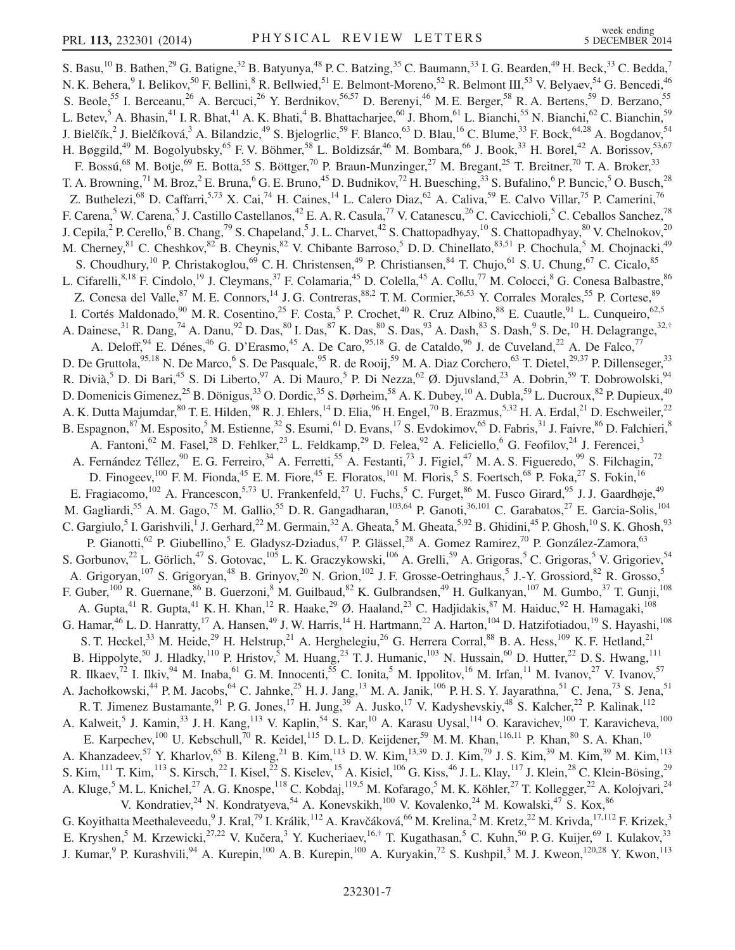<span id="page-6-0"></span>S. Basu,<sup>10</sup> B. Bathen,<sup>29</sup> G. Batigne,<sup>32</sup> B. Batyunya,<sup>48</sup> P. C. Batzing,<sup>35</sup> C. Baumann,<sup>33</sup> I. G. Bearden,<sup>49</sup> H. Beck,<sup>33</sup> C. Bedda,<sup>7</sup> N. K. Behera, <sup>9</sup> I. Belikov,<sup>50</sup> F. Bellini, <sup>8</sup> R. Bellwied,<sup>51</sup> E. Belmont-Moreno,<sup>52</sup> R. Belmont III,<sup>53</sup> V. Belyaev,<sup>54</sup> G. Bencedi,<sup>46</sup> S. Beole,<sup>55</sup> I. Berceanu,<sup>26</sup> A. Bercuci,<sup>26</sup> Y. Berdnikov,<sup>56,57</sup> D. Berenyi,<sup>46</sup> M. E. Berger,<sup>58</sup> R. A. Bertens,<sup>59</sup> D. Berzano,<sup>55</sup> L. Betev,<sup>5</sup> A. Bhasin,<sup>41</sup> I. R. Bhat,<sup>41</sup> A. K. Bhati,<sup>4</sup> B. Bhattacharjee,<sup>60</sup> J. Bhom,<sup>61</sup> L. Bianchi,<sup>55</sup> N. Bianchi,<sup>62</sup> C. Bianchin,<sup>59</sup> J. Bielčík,<sup>2</sup> J. Bielčíková,<sup>3</sup> A. Bilandzic,<sup>49</sup> S. Bjelogrlic,<sup>59</sup> F. Blanco,<sup>63</sup> D. Blau,<sup>16</sup> C. Blume,<sup>33</sup> F. Bock,<sup>64,28</sup> A. Bogdanov,<sup>54</sup> H. Bøggild,<sup>49</sup> M. Bogolyubsky,<sup>65</sup> F. V. Böhmer,<sup>58</sup> L. Boldizsár,<sup>46</sup> M. Bombara,<sup>66</sup> J. Book,<sup>33</sup> H. Borel,<sup>42</sup> A. Borissov,<sup>53,67</sup> F. Bossú,<sup>68</sup> M. Botje,<sup>69</sup> E. Botta,<sup>55</sup> S. Böttger,<sup>70</sup> P. Braun-Munzinger,<sup>27</sup> M. Bregant,<sup>25</sup> T. Breitner,<sup>70</sup> T. A. Broker,<sup>33</sup> T. A. Browning,<sup>71</sup> M. Broz,<sup>2</sup> E. Bruna,<sup>6</sup> G. E. Bruno,<sup>45</sup> D. Budnikov,<sup>72</sup> H. Buesching,<sup>33</sup> S. Bufalino,<sup>6</sup> P. Buncic,<sup>5</sup> O. Busch,<sup>28</sup> Z. Buthelezi,<sup>68</sup> D. Caffarri,<sup>5,73</sup> X. Cai,<sup>74</sup> H. Caines,<sup>14</sup> L. Calero Diaz,<sup>62</sup> A. Caliva,<sup>59</sup> E. Calvo Villar,<sup>75</sup> P. Camerini,<sup>76</sup> F. Carena,<sup>5</sup> W. Carena,<sup>5</sup> J. Castillo Castellanos,<sup>42</sup> E. A. R. Casula,<sup>77</sup> V. Catanescu,<sup>26</sup> C. Cavicchioli,<sup>5</sup> C. Ceballos Sanchez,<sup>78</sup> J. Cepila,<sup>2</sup> P. Cerello,<sup>6</sup> B. Chang,<sup>79</sup> S. Chapeland,<sup>5</sup> J. L. Charvet,<sup>42</sup> S. Chattopadhyay,<sup>10</sup> S. Chattopadhyay,<sup>80</sup> V. Chelnokov,<sup>20</sup> M. Cherney, <sup>81</sup> C. Cheshkov, <sup>82</sup> B. Cheynis, <sup>82</sup> V. Chibante Barroso, <sup>5</sup> D. D. Chinellato, <sup>83,51</sup> P. Chochula, <sup>5</sup> M. Chojnacki, <sup>49</sup> S. Choudhury,<sup>10</sup> P. Christakoglou,<sup>69</sup> C. H. Christensen,<sup>49</sup> P. Christiansen,<sup>84</sup> T. Chujo,<sup>61</sup> S. U. Chung,<sup>67</sup> C. Cicalo,<sup>85</sup> L. Cifarelli, <sup>8,18</sup> F. Cindolo, <sup>19</sup> J. Cleymans, <sup>37</sup> F. Colamaria, <sup>45</sup> D. Colella, <sup>45</sup> A. Collu, <sup>77</sup> M. Colocci, <sup>8</sup> G. Conesa Balbastre, <sup>86</sup> Z. Conesa del Valle,<sup>87</sup> M. E. Connors,<sup>14</sup> J. G. Contreras,<sup>88,2</sup> T. M. Cormier,<sup>36,53</sup> Y. Corrales Morales,<sup>55</sup> P. Cortese,<sup>89</sup> I. Cortés Maldonado, <sup>90</sup> M. R. Cosentino, <sup>25</sup> F. Costa, <sup>5</sup> P. Crochet, <sup>40</sup> R. Cruz Albino, <sup>88</sup> E. Cuautle, <sup>91</sup> L. Cunqueiro, <sup>62,5</sup> A. Dainese,  $31$  R. Dang,  $74$  A. Danu,  $92$  D. Das,  $80$  I. Das,  $87$  K. Das,  $80$  S. Das,  $93$  A. Dash,  $83$  S. Dash,  $9$  S. De,  $10$  H. Delagrange,  $32.7$ A. Deloff, <sup>94</sup> E. Dénes, <sup>46</sup> G. D'Erasmo, <sup>45</sup> A. De Caro, <sup>95,18</sup> G. de Cataldo, <sup>96</sup> J. de Cuveland, <sup>22</sup> A. De Falco, <sup>77</sup> D. De Gruttola,  $^{95,18}$  N. De Marco,  $^6$  S. De Pasquale,  $^{95}$  R. de Rooij,  $^{59}$  M. A. Diaz Corchero,  $^{63}$  T. Dietel,  $^{29,37}$  P. Dillenseger,  $^{33}$ R. Divià,<sup>5</sup> D. Di Bari,<sup>45</sup> S. Di Liberto,<sup>97</sup> A. Di Mauro,<sup>5</sup> P. Di Nezza,<sup>62</sup> Ø. Djuvsland,<sup>23</sup> A. Dobrin,<sup>59</sup> T. Dobrowolski,<sup>94</sup> D. Domenicis Gimenez,<sup>25</sup> B. Dönigus,<sup>33</sup> O. Dordic,<sup>35</sup> S. Dørheim,<sup>58</sup> A. K. Dubey,<sup>10</sup> A. Dubla,<sup>59</sup> L. Ducroux,<sup>82</sup> P. Dupieux,<sup>40</sup> A. K. Dutta Majumdar,  $80$  T. E. Hilden,  $98$  R. J. Ehlers,  $14$  D. Elia,  $96$  H. Engel,  $70$  B. Erazmus,  $5.32$  H. A. Erdal,  $21$  D. Eschweiler,  $22$ B. Espagnon, <sup>87</sup> M. Esposito, 5<sup>5</sup> M. Estienne, <sup>32</sup> S. Esumi, <sup>61</sup> D. Evans, <sup>17</sup> S. Evdokimov, <sup>65</sup> D. Fabris, <sup>31</sup> J. Faivre, <sup>86</sup> D. Falchieri, <sup>8</sup> A. Fantoni,  $^{62}$  M. Fasel,  $^{28}$  D. Fehlker,  $^{23}$  L. Feldkamp,  $^{29}$  D. Felea,  $^{92}$  A. Feliciello,  $^{6}$  G. Feofilov,  $^{24}$  J. Ferencei,  $^{3}$ A. Fernández Téllez, <sup>90</sup> E. G. Ferreiro, <sup>34</sup> A. Ferretti, <sup>55</sup> A. Festanti, <sup>73</sup> J. Figiel, <sup>47</sup> M. A. S. Figueredo, <sup>99</sup> S. Filchagin, <sup>72</sup> D. Finogeev,<sup>100</sup> F. M. Fionda,<sup>45</sup> E. M. Fiore,<sup>45</sup> E. Floratos,<sup>101</sup> M. Floris,<sup>5</sup> S. Foertsch,<sup>68</sup> P. Foka,<sup>27</sup> S. Fokin,<sup>16</sup> E. Fragiacomo,<sup>102</sup> A. Francescon,<sup>5,73</sup> U. Frankenfeld,<sup>27</sup> U. Fuchs,<sup>5</sup> C. Furget,<sup>86</sup> M. Fusco Girard,<sup>95</sup> J. J. Gaardhøje,<sup>49</sup> M. Gagliardi,<sup>55</sup> A. M. Gago,<sup>75</sup> M. Gallio,<sup>55</sup> D. R. Gangadharan,<sup>103,64</sup> P. Ganoti,<sup>36,101</sup> C. Garabatos,<sup>27</sup> E. Garcia-Solis,<sup>104</sup> C. Gargiulo,<sup>5</sup> I. Garishvili,<sup>1</sup> J. Gerhard,<sup>22</sup> M. Germain,<sup>32</sup> A. Gheata,<sup>5</sup> M. Gheata,<sup>5,92</sup> B. Ghidini,<sup>45</sup> P. Ghosh,<sup>10</sup> S. K. Ghosh,<sup>93</sup> P. Gianotti,<sup>62</sup> P. Giubellino,<sup>5</sup> E. Gladysz-Dziadus,<sup>47</sup> P. Glässel,<sup>28</sup> A. Gomez Ramirez,<sup>70</sup> P. González-Zamora,<sup>63</sup> S. Gorbunov,<sup>22</sup> L. Görlich,<sup>47</sup> S. Gotovac,<sup>105</sup> L. K. Graczykowski,<sup>106</sup> A. Grelli,<sup>59</sup> A. Grigoras,<sup>5</sup> C. Grigoras,<sup>5</sup> V. Grigoriev,<sup>54</sup> A. Grigoryan,<sup>107</sup> S. Grigoryan,<sup>48</sup> B. Grinyov,<sup>20</sup> N. Grion,<sup>102</sup> J. F. Grosse-Oetringhaus,<sup>5</sup> J.-Y. Grossiord,<sup>82</sup> R. Grosso,<sup>5</sup> F. Guber,<sup>100</sup> R. Guernane,<sup>86</sup> B. Guerzoni,<sup>8</sup> M. Guilbaud,<sup>82</sup> K. Gulbrandsen,<sup>49</sup> H. Gulkanyan,<sup>107</sup> M. Gumbo,<sup>37</sup> T. Gunji,<sup>108</sup> A. Gupta,<sup>41</sup> R. Gupta,<sup>41</sup> K. H. Khan,<sup>12</sup> R. Haake,<sup>29</sup> Ø. Haaland,<sup>23</sup> C. Hadjidakis,<sup>87</sup> M. Haiduc,<sup>92</sup> H. Hamagaki,<sup>108</sup> G. Hamar,<sup>46</sup> L. D. Hanratty,<sup>17</sup> A. Hansen,<sup>49</sup> J. W. Harris,<sup>14</sup> H. Hartmann,<sup>22</sup> A. Harton,<sup>104</sup> D. Hatzifotiadou,<sup>19</sup> S. Hayashi,<sup>108</sup> S. T. Heckel,<sup>33</sup> M. Heide,<sup>29</sup> H. Helstrup,<sup>21</sup> A. Herghelegiu,<sup>26</sup> G. Herrera Corral,<sup>88</sup> B. A. Hess,<sup>109</sup> K. F. Hetland,<sup>21</sup> B. Hippolyte,<sup>50</sup> J. Hladky,<sup>110</sup> P. Hristov,<sup>5</sup> M. Huang,<sup>23</sup> T. J. Humanic,<sup>103</sup> N. Hussain,<sup>60</sup> D. Hutter,<sup>22</sup> D. S. Hwang,<sup>111</sup> R. Ilkaev,<sup>72</sup> I. Ilkiv,<sup>94</sup> M. Inaba,<sup>61</sup> G. M. Innocenti,<sup>55</sup> C. Ionita,<sup>5</sup> M. Ippolitov,<sup>16</sup> M. Irfan,<sup>11</sup> M. Ivanov,<sup>27</sup> V. Ivanov,<sup>57</sup> A. Jachołkowski,<sup>44</sup> P. M. Jacobs,<sup>64</sup> C. Jahnke,<sup>25</sup> H. J. Jang,<sup>13</sup> M. A. Janik,<sup>106</sup> P. H. S. Y. Jayarathna,<sup>51</sup> C. Jena,<sup>73</sup> S. Jena,<sup>51</sup> R. T. Jimenez Bustamante, <sup>91</sup> P. G. Jones, <sup>17</sup> H. Jung, <sup>39</sup> A. Jusko, <sup>17</sup> V. Kadyshevskiy, <sup>48</sup> S. Kalcher, <sup>22</sup> P. Kalinak, <sup>112</sup> A. Kalweit,<sup>5</sup> J. Kamin,<sup>33</sup> J. H. Kang,<sup>113</sup> V. Kaplin,<sup>54</sup> S. Kar,<sup>10</sup> A. Karasu Uysal,<sup>114</sup> O. Karavichev,<sup>100</sup> T. Karavicheva,<sup>100</sup> E. Karpechev,<sup>100</sup> U. Kebschull,<sup>70</sup> R. Keidel,<sup>115</sup> D. L. D. Keijdener,<sup>59</sup> M. M. Khan,<sup>116,11</sup> P. Khan,<sup>80</sup> S. A. Khan,<sup>10</sup> A. Khanzadeev,<sup>57</sup> Y. Kharlov,<sup>65</sup> B. Kileng,<sup>21</sup> B. Kim,<sup>113</sup> D. W. Kim,<sup>13,39</sup> D. J. Kim,<sup>79</sup> J. S. Kim,<sup>39</sup> M. Kim,<sup>39</sup> M. Kim,<sup>113</sup> S. Kim,  $^{111}$  T. Kim,  $^{113}$  S. Kirsch, $^{22}$  I. Kisel, $^{22}$  S. Kiselev,  $^{15}$  A. Kisiel,  $^{106}$  G. Kiss,  $^{46}$  J. L. Klay,  $^{117}$  J. Klein,  $^{28}$  C. Klein-Bösing,  $^{29}$ A. Kluge,<sup>5</sup> M. L. Knichel,<sup>27</sup> A. G. Knospe,<sup>118</sup> C. Kobdaj,<sup>119,5</sup> M. Kofarago,<sup>5</sup> M. K. Köhler,<sup>27</sup> T. Kollegger,<sup>22</sup> A. Kolojvari,<sup>24</sup> V. Kondratiev,  $^{24}$  N. Kondratyeva,  $^{54}$  A. Konevskikh,  $^{100}$  V. Kovalenko,  $^{24}$  M. Kowalski,  $^{47}$  S. Kox,  $^{86}$ G. Koyithatta Meethaleveedu, <sup>9</sup> J. Kral, <sup>79</sup> I. Králik, <sup>112</sup> A. Kravčáková, <sup>66</sup> M. Krelina, <sup>2</sup> M. Kretz, <sup>22</sup> M. Krivda, <sup>17,112</sup> F. Krizek, <sup>3</sup> E. Kryshen,<sup>5</sup> M. Krzewicki,<sup>27,22</sup> V. Kučera,<sup>3</sup> Y. Kucheriaev,<sup>16,[†](#page-10-0)</sup> T. Kugathasan,<sup>5</sup> C. Kuhn,<sup>50</sup> P. G. Kuijer,<sup>69</sup> I. Kulakov,<sup>33</sup> J. Kumar,<sup>9</sup> P. Kurashvili,<sup>94</sup> A. Kurepin,<sup>100</sup> A. B. Kurepin,<sup>100</sup> A. Kuryakin,<sup>72</sup> S. Kushpil,<sup>3</sup> M. J. Kweon,<sup>120,28</sup> Y. Kwon,<sup>113</sup>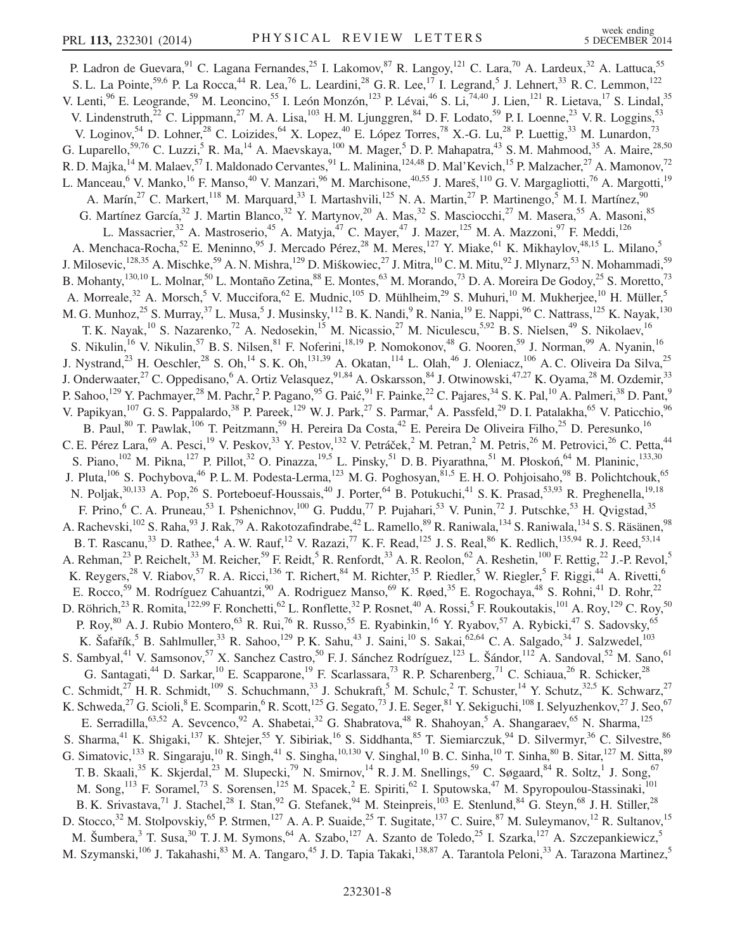P. Ladron de Guevara, <sup>91</sup> C. Lagana Fernandes, <sup>25</sup> I. Lakomov, <sup>87</sup> R. Langoy, <sup>121</sup> C. Lara, <sup>70</sup> A. Lardeux, <sup>32</sup> A. Lattuca, <sup>55</sup> S. L. La Pointe,<sup>59,6</sup> P. La Rocca,<sup>44</sup> R. Lea,<sup>76</sup> L. Leardini,<sup>28</sup> G. R. Lee,<sup>17</sup> I. Legrand,<sup>5</sup> J. Lehnert,<sup>33</sup> R. C. Lemmon,<sup>122</sup> V. Lenti,<sup>96</sup> E. Leogrande,<sup>59</sup> M. Leoncino,<sup>55</sup> I. León Monzón,<sup>123</sup> P. Lévai,<sup>46</sup> S. Li,<sup>74,40</sup> J. Lien,<sup>121</sup> R. Lietava,<sup>17</sup> S. Lindal,<sup>35</sup> V. Lindenstruth,<sup>22</sup> C. Lippmann,<sup>27</sup> M. A. Lisa,<sup>103</sup> H. M. Ljunggren,<sup>84</sup> D. F. Lodato,<sup>59</sup> P. I. Loenne,<sup>23</sup> V. R. Loggins,<sup>53</sup> V. Loginov,<sup>54</sup> D. Lohner,<sup>28</sup> C. Loizides,<sup>64</sup> X. Lopez,<sup>40</sup> E. López Torres,<sup>78</sup> X.-G. Lu,<sup>28</sup> P. Luettig,<sup>33</sup> M. Lunardon,<sup>73</sup> G. Luparello,<sup>59,76</sup> C. Luzzi,<sup>5</sup> R. Ma,<sup>14</sup> A. Maevskaya,<sup>100</sup> M. Mager,<sup>5</sup> D. P. Mahapatra,<sup>43</sup> S. M. Mahmood,<sup>35</sup> A. Maire,<sup>28,50</sup> R. D. Majka,<sup>14</sup> M. Malaev,<sup>57</sup> I. Maldonado Cervantes,<sup>91</sup> L. Malinina,<sup>124,48</sup> D. Mal'Kevich,<sup>15</sup> P. Malzacher,<sup>27</sup> A. Mamonov,<sup>72</sup> L. Manceau, <sup>6</sup> V. Manko, <sup>16</sup> F. Manso, <sup>40</sup> V. Manzari, <sup>96</sup> M. Marchisone, <sup>40,55</sup> J. Mareš, <sup>110</sup> G. V. Margagliotti, <sup>76</sup> A. Margotti, <sup>19</sup> A. Marín,  $2^7$  C. Markert,  $118$  M. Marquard,  $33$  I. Martashvili,  $125$  N. A. Martin,  $2^7$  P. Martinengo,  $5$  M. I. Martínez,  $90$ G. Martínez García,<sup>32</sup> J. Martin Blanco,<sup>32</sup> Y. Martynov,<sup>20</sup> A. Mas,<sup>32</sup> S. Masciocchi,<sup>27</sup> M. Masera,<sup>55</sup> A. Masoni,<sup>85</sup> L. Massacrier,<sup>32</sup> A. Mastroserio,<sup>45</sup> A. Matyja,<sup>47</sup> C. Mayer,<sup>47</sup> J. Mazer,<sup>125</sup> M. A. Mazzoni,<sup>97</sup> F. Meddi,<sup>126</sup> A. Menchaca-Rocha,<sup>52</sup> E. Meninno,<sup>95</sup> J. Mercado Pérez,<sup>28</sup> M. Meres,<sup>127</sup> Y. Miake,<sup>61</sup> K. Mikhaylov,<sup>48,15</sup> L. Milano,<sup>5</sup> J. Milosevic,<sup>128,35</sup> A. Mischke,<sup>59</sup> A. N. Mishra,<sup>129</sup> D. Miśkowiec,<sup>27</sup> J. Mitra,<sup>10</sup> C. M. Mitu,<sup>92</sup> J. Mlynarz,<sup>53</sup> N. Mohammadi,<sup>59</sup> B. Mohanty,<sup>130,10</sup> L. Molnar,<sup>50</sup> L. Montaño Zetina,<sup>88</sup> E. Montes,<sup>63</sup> M. Morando,<sup>73</sup> D. A. Moreira De Godoy,<sup>25</sup> S. Moretto,<sup>73</sup> A. Morreale,<sup>32</sup> A. Morsch,<sup>5</sup> V. Muccifora,<sup>62</sup> E. Mudnic,<sup>105</sup> D. Mühlheim,<sup>29</sup> S. Muhuri,<sup>10</sup> M. Mukherjee,<sup>10</sup> H. Müller,<sup>5</sup> M. G. Munhoz,<sup>25</sup> S. Murray,<sup>37</sup> L. Musa,<sup>5</sup> J. Musinsky,<sup>112</sup> B. K. Nandi,<sup>9</sup> R. Nania,<sup>19</sup> E. Nappi,<sup>96</sup> C. Nattrass,<sup>125</sup> K. Nayak,<sup>130</sup> T. K. Nayak,<sup>10</sup> S. Nazarenko,<sup>72</sup> A. Nedosekin,<sup>15</sup> M. Nicassio,<sup>27</sup> M. Niculescu,<sup>5,92</sup> B. S. Nielsen,<sup>49</sup> S. Nikolaev,<sup>16</sup> S. Nikulin,<sup>16</sup> V. Nikulin,<sup>57</sup> B. S. Nilsen,<sup>81</sup> F. Noferini,<sup>18,19</sup> P. Nomokonov,<sup>48</sup> G. Nooren,<sup>59</sup> J. Norman,<sup>99</sup> A. Nyanin,<sup>16</sup> J. Nystrand,<sup>23</sup> H. Oeschler,<sup>28</sup> S. Oh,<sup>14</sup> S. K. Oh,<sup>131,39</sup> A. Okatan,<sup>114</sup> L. Olah,<sup>46</sup> J. Oleniacz,<sup>106</sup> A. C. Oliveira Da Silva,<sup>25</sup> J. Onderwaater,<sup>27</sup> C. Oppedisano,<sup>6</sup> A. Ortiz Velasquez,<sup>91,84</sup> A. Oskarsson,<sup>84</sup> J. Otwinowski,<sup>47,27</sup> K. Oyama,<sup>28</sup> M. Ozdemir,<sup>33</sup> P. Sahoo,<sup>129</sup> Y. Pachmayer,<sup>28</sup> M. Pachr,<sup>2</sup> P. Pagano,<sup>95</sup> G. Paić,<sup>91</sup> F. Painke,<sup>22</sup> C. Pajares,<sup>34</sup> S. K. Pal,<sup>10</sup> A. Palmeri,<sup>38</sup> D. Pant,<sup>9</sup> V. Papikyan,<sup>107</sup> G. S. Pappalardo,<sup>38</sup> P. Pareek,<sup>129</sup> W. J. Park,<sup>27</sup> S. Parmar,<sup>4</sup> A. Passfeld,<sup>29</sup> D. I. Patalakha,<sup>65</sup> V. Paticchio,<sup>96</sup> B. Paul,<sup>80</sup> T. Pawlak,<sup>106</sup> T. Peitzmann,<sup>59</sup> H. Pereira Da Costa,<sup>42</sup> E. Pereira De Oliveira Filho,<sup>25</sup> D. Peresunko,<sup>16</sup> C. E. Pérez Lara, <sup>69</sup> A. Pesci,<sup>19</sup> V. Peskov,<sup>33</sup> Y. Pestov,<sup>132</sup> V. Petráček,<sup>2</sup> M. Petran,<sup>2</sup> M. Petris,<sup>26</sup> M. Petrovici,<sup>26</sup> C. Petta,<sup>44</sup> S. Piano,  $^{102}$  M. Pikna,  $^{127}$  P. Pillot,  $^{32}$  O. Pinazza,  $^{19,5}$  L. Pinsky,  $^{51}$  D. B. Piyarathna,  $^{51}$  M. Płoskoń,  $^{64}$  M. Planinic,  $^{133,30}$ J. Pluta,<sup>106</sup> S. Pochybova,<sup>46</sup> P. L. M. Podesta-Lerma,<sup>123</sup> M. G. Poghosyan,<sup>81,5</sup> E. H. O. Pohjoisaho,<sup>98</sup> B. Polichtchouk,<sup>65</sup> N. Poljak,<sup>30,133</sup> A. Pop,<sup>26</sup> S. Porteboeuf-Houssais,<sup>40</sup> J. Porter,<sup>64</sup> B. Potukuchi,<sup>41</sup> S. K. Prasad,<sup>53,93</sup> R. Preghenella,<sup>19,18</sup> F. Prino,<sup>6</sup> C. A. Pruneau,<sup>53</sup> I. Pshenichnov,<sup>100</sup> G. Puddu,<sup>77</sup> P. Pujahari,<sup>53</sup> V. Punin,<sup>72</sup> J. Putschke,<sup>53</sup> H. Qvigstad,<sup>35</sup> A. Rachevski,<sup>102</sup> S. Raha,<sup>93</sup> J. Rak,<sup>79</sup> A. Rakotozafindrabe,<sup>42</sup> L. Ramello,<sup>89</sup> R. Raniwala,<sup>134</sup> S. Raniwala,<sup>134</sup> S. S. Räsänen,<sup>98</sup> B. T. Rascanu,<sup>33</sup> D. Rathee,<sup>4</sup> A. W. Rauf,<sup>12</sup> V. Razazi,<sup>77</sup> K. F. Read,<sup>125</sup> J. S. Real,<sup>86</sup> K. Redlich,<sup>135,94</sup> R. J. Reed,<sup>53,14</sup> A. Rehman,<sup>23</sup> P. Reichelt,<sup>33</sup> M. Reicher,<sup>59</sup> F. Reidt,<sup>5</sup> R. Renfordt,<sup>33</sup> A. R. Reolon,<sup>62</sup> A. Reshetin,<sup>100</sup> F. Rettig,<sup>22</sup> J.-P. Revol,<sup>5</sup> K. Reygers,<sup>28</sup> V. Riabov,<sup>57</sup> R. A. Ricci,<sup>136</sup> T. Richert,<sup>84</sup> M. Richter,<sup>35</sup> P. Riedler,<sup>5</sup> W. Riegler,<sup>5</sup> F. Riggi,<sup>44</sup> A. Rivetti,<sup>6</sup> E. Rocco,<sup>59</sup> M. Rodríguez Cahuantzi,<sup>90</sup> A. Rodriguez Manso,<sup>69</sup> K. Røed,<sup>35</sup> E. Rogochaya,<sup>48</sup> S. Rohni,<sup>41</sup> D. Rohr,<sup>22</sup> D. Röhrich,<sup>23</sup> R. Romita,<sup>122,99</sup> F. Ronchetti,<sup>62</sup> L. Ronflette,<sup>32</sup> P. Rosnet,<sup>40</sup> A. Rossi,<sup>5</sup> F. Roukoutakis,<sup>101</sup> A. Roy,<sup>129</sup> C. Roy,<sup>50</sup> P. Roy,<sup>80</sup> A. J. Rubio Montero,<sup>63</sup> R. Rui,<sup>76</sup> R. Russo,<sup>55</sup> E. Ryabinkin,<sup>16</sup> Y. Ryabov,<sup>57</sup> A. Rybicki,<sup>47</sup> S. Sadovsky,<sup>65</sup> K. Šafařík,<sup>5</sup> B. Sahlmuller,<sup>33</sup> R. Sahoo,<sup>129</sup> P. K. Sahu,<sup>43</sup> J. Saini,<sup>10</sup> S. Sakai,<sup>62,64</sup> C. A. Salgado,<sup>34</sup> J. Salzwedel,<sup>103</sup> S. Sambyal,<sup>41</sup> V. Samsonov,<sup>57</sup> X. Sanchez Castro,<sup>50</sup> F. J. Sánchez Rodríguez,<sup>123</sup> L. Šándor,<sup>112</sup> A. Sandoval,<sup>52</sup> M. Sano,<sup>61</sup> G. Santagati,<sup>44</sup> D. Sarkar,<sup>10</sup> E. Scapparone,<sup>19</sup> F. Scarlassara,<sup>73</sup> R. P. Scharenberg,<sup>71</sup> C. Schiaua,<sup>26</sup> R. Schicker,<sup>28</sup> C. Schmidt, $2^7$  H. R. Schmidt, $109$  S. Schuchmann,  $33$  J. Schukraft, M. Schulc, T. Schuster,  $14$  Y. Schutz,  $32.5$  K. Schwarz,  $27$ K. Schweda,<sup>27</sup> G. Scioli,<sup>8</sup> E. Scomparin,<sup>6</sup> R. Scott,<sup>125</sup> G. Segato,<sup>73</sup> J. E. Seger,<sup>81</sup> Y. Sekiguchi,<sup>108</sup> I. Selyuzhenkov,<sup>27</sup> J. Seo,<sup>67</sup> E. Serradilla,<sup>63,52</sup> A. Sevcenco,<sup>92</sup> A. Shabetai,<sup>32</sup> G. Shabratova,<sup>48</sup> R. Shahoyan,<sup>5</sup> A. Shangaraev,<sup>65</sup> N. Sharma,<sup>125</sup> S. Sharma,<sup>41</sup> K. Shigaki,<sup>137</sup> K. Shtejer,<sup>55</sup> Y. Sibiriak,<sup>16</sup> S. Siddhanta,<sup>85</sup> T. Siemiarczuk,<sup>94</sup> D. Silvermyr,<sup>36</sup> C. Silvestre,<sup>86</sup> G. Simatovic,<sup>133</sup> R. Singaraju,<sup>10</sup> R. Singh,<sup>41</sup> S. Singha,<sup>10,130</sup> V. Singhal,<sup>10</sup> B. C. Sinha,<sup>10</sup> T. Sinha,<sup>80</sup> B. Sitar,<sup>127</sup> M. Sitta,<sup>89</sup> T. B. Skaali,<sup>35</sup> K. Skjerdal,<sup>23</sup> M. Slupecki,<sup>79</sup> N. Smirnov,<sup>14</sup> R. J. M. Snellings,<sup>59</sup> C. Søgaard,<sup>84</sup> R. Soltz,<sup>1</sup> J. Song,<sup>67</sup> M. Song,<sup>113</sup> F. Soramel,<sup>73</sup> S. Sorensen,<sup>125</sup> M. Spacek,<sup>2</sup> E. Spiriti,<sup>62</sup> I. Sputowska,<sup>47</sup> M. Spyropoulou-Stassinaki,<sup>101</sup> B. K. Srivastava,<sup>71</sup> J. Stachel,<sup>28</sup> I. Stan,<sup>92</sup> G. Stefanek,<sup>94</sup> M. Steinpreis,<sup>103</sup> E. Stenlund,<sup>84</sup> G. Steyn,<sup>68</sup> J. H. Stiller,<sup>28</sup> D. Stocco,<sup>32</sup> M. Stolpovskiy,<sup>65</sup> P. Strmen,<sup>127</sup> A. A. P. Suaide,<sup>25</sup> T. Sugitate,<sup>137</sup> C. Suire,<sup>87</sup> M. Suleymanov,<sup>12</sup> R. Sultanov,<sup>15</sup> M. Šumbera,<sup>3</sup> T. Susa,<sup>30</sup> T. J. M. Symons,<sup>64</sup> A. Szabo,<sup>127</sup> A. Szanto de Toledo,<sup>25</sup> I. Szarka,<sup>127</sup> A. Szczepankiewicz,<sup>5</sup> M. Szymanski,<sup>106</sup> J. Takahashi,<sup>83</sup> M. A. Tangaro,<sup>45</sup> J. D. Tapia Takaki,<sup>138,87</sup> A. Tarantola Peloni,<sup>33</sup> A. Tarazona Martinez,<sup>5</sup>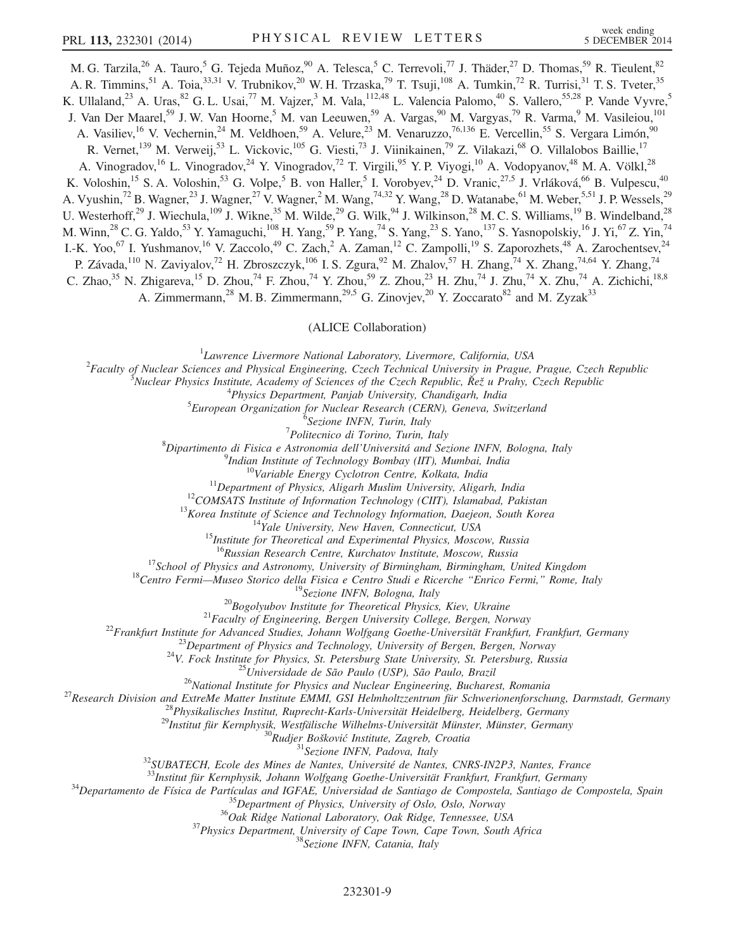M. G. Tarzila,<sup>26</sup> A. Tauro,<sup>5</sup> G. Tejeda Muñoz,<sup>90</sup> A. Telesca,<sup>5</sup> C. Terrevoli,<sup>77</sup> J. Thäder,<sup>27</sup> D. Thomas,<sup>59</sup> R. Tieulent,<sup>82</sup> A. R. Timmins,<sup>51</sup> A. Toia,<sup>33,31</sup> V. Trubnikov,<sup>20</sup> W. H. Trzaska,<sup>79</sup> T. Tsuji,<sup>108</sup> A. Tumkin,<sup>72</sup> R. Turrisi,<sup>31</sup> T. S. Tveter,<sup>35</sup> K. Ullaland,<sup>23</sup> A. Uras,<sup>82</sup> G. L. Usai,<sup>77</sup> M. Vajzer,<sup>3</sup> M. Vala,<sup>112,48</sup> L. Valencia Palomo,<sup>40</sup> S. Vallero,<sup>55,28</sup> P. Vande Vyvre,<sup>5</sup> J. Van Der Maarel,<sup>59</sup> J. W. Van Hoorne,<sup>5</sup> M. van Leeuwen,<sup>59</sup> A. Vargas,<sup>90</sup> M. Vargyas,<sup>79</sup> R. Varma,<sup>9</sup> M. Vasileiou,<sup>101</sup> A. Vasiliev,<sup>16</sup> V. Vechernin,<sup>24</sup> M. Veldhoen,<sup>59</sup> A. Velure,<sup>23</sup> M. Venaruzzo,<sup>76,136</sup> E. Vercellin,<sup>55</sup> S. Vergara Limón,<sup>90</sup> R. Vernet,<sup>139</sup> M. Verweij,<sup>53</sup> L. Vickovic,<sup>105</sup> G. Viesti,<sup>73</sup> J. Viinikainen,<sup>79</sup> Z. Vilakazi,<sup>68</sup> O. Villalobos Baillie,<sup>17</sup> A. Vinogradov,<sup>16</sup> L. Vinogradov,<sup>24</sup> Y. Vinogradov,<sup>72</sup> T. Virgili,<sup>95</sup> Y. P. Viyogi,<sup>10</sup> A. Vodopyanov,<sup>48</sup> M. A. Völkl,<sup>28</sup> K. Voloshin,<sup>15</sup> S. A. Voloshin,<sup>53</sup> G. Volpe,<sup>5</sup> B. von Haller,<sup>5</sup> I. Vorobyev,<sup>24</sup> D. Vranic,<sup>27,5</sup> J. Vrláková,<sup>66</sup> B. Vulpescu,<sup>40</sup> A. Vyushin,<sup>72</sup> B. Wagner,<sup>23</sup> J. Wagner,<sup>27</sup> V. Wagner,<sup>2</sup> M. Wang,<sup>74,32</sup> Y. Wang,<sup>28</sup> D. Watanabe,<sup>61</sup> M. Weber,<sup>5,51</sup> J. P. Wessels,<sup>29</sup> U. Westerhoff,<sup>29</sup> J. Wiechula,<sup>109</sup> J. Wikne,<sup>35</sup> M. Wilde,<sup>29</sup> G. Wilk,<sup>94</sup> J. Wilkinson,<sup>28</sup> M. C. S. Williams,<sup>19</sup> B. Windelband,<sup>28</sup> M. Winn,<sup>28</sup> C. G. Yaldo,<sup>53</sup> Y. Yamaguchi,<sup>108</sup> H. Yang,<sup>59</sup> P. Yang,<sup>74</sup> S. Yang,<sup>23</sup> S. Yano,<sup>137</sup> S. Yasnopolskiy,<sup>16</sup> J. Yi,<sup>67</sup> Z. Yin,<sup>74</sup> I.-K. Yoo,<sup>67</sup> I. Yushmanov,<sup>16</sup> V. Zaccolo,<sup>49</sup> C. Zach,<sup>2</sup> A. Zaman,<sup>12</sup> C. Zampolli,<sup>19</sup> S. Zaporozhets,<sup>48</sup> A. Zarochentsev,<sup>24</sup> P. Závada,<sup>110</sup> N. Zaviyalov,<sup>72</sup> H. Zbroszczyk,<sup>106</sup> I. S. Zgura,<sup>92</sup> M. Zhalov,<sup>57</sup> H. Zhang,<sup>74</sup> X. Zhang,<sup>74,64</sup> Y. Zhang,<sup>74</sup> C. Zhao,<sup>35</sup> N. Zhigareva,<sup>15</sup> D. Zhou,<sup>74</sup> F. Zhou,<sup>74</sup> Y. Zhou,<sup>59</sup> Z. Zhou,<sup>23</sup> H. Zhu,<sup>74</sup> J. Zhu,<sup>74</sup> X. Zhu,<sup>74</sup> A. Zichichi,<sup>18,8</sup> A. Zimmermann,<sup>28</sup> M. B. Zimmermann,<sup>29,5</sup> G. Zinovjev,<sup>20</sup> Y. Zoccarato<sup>82</sup> and M. Zyzak<sup>33</sup>

(ALICE Collaboration)

 ${}^{1}$ Lawrence Livermore National Laboratory, Livermore, California, USA <sup>1</sup>Lawrence Livermore National Laboratory, Livermore, California, USA<br><sup>2</sup>Eaculty of Nuclear Sciences and Physical Engineering, Czeck Technical University in Pracus

Faculty of Nuclear Sciences and Physical Engineering, Czech Technical University in Prague, Prague, Czech Republic  $\frac{3}{2}$ 

Nuclear Physics Institute, Academy of Sciences of the Czech Republic, <sup>Ř</sup>e<sup>ž</sup> u Prahy, Czech Republic <sup>4</sup>

 ${}^{4}$ Physics Department, Panjab University, Chandigarh, India

 ${}^{5}$ European Organization for Nuclear Research (CERN), Geneva, Switzerland

 $^{6}$ Sezione INFN, Turin, Italy<br><sup>7</sup>Politecnico di Torino, Turin, Italy

 $P_{\text{D}inter}$ <br>Politecnico di Torino, Turin, Italy  $\frac{8}{3}$ 

Dipartimento di Fisica e Astronomia dell'Universitá and Sezione INFN, Bologna, Italy <sup>9</sup>

<sup>9</sup>Indian Institute of Technology Bombay (IIT), Mumbai, India<br><sup>10</sup>Variable Energy Cyclotron Centre, Kolkata, India<br><sup>11</sup>Department of Physics, Aligarh Muslim University, Aligarh, India<br><sup>12</sup>COMSATS Institute of Information

<sup>15</sup>School of Physics and Astronomy, University of Bursingham, Birmingham, Diversity and Astronomy, University of Birmingham, Birmingham, Divied Kingdom<br>
<sup>15</sup>School of Physics and Astronomy, University of Birmingham, Birm

<sup>32</sup>SUBATECH, Ecole des Mines de Nantes, Université de Nantes, CNRS-IN2P3, Nantes, France<br><sup>33</sup>Institut für Kernphysik, Johann Wolfgang Goethe-Universität Frankfurt, Frankfurt, Germany<br><sup>34</sup>Departamento de Física de Partícu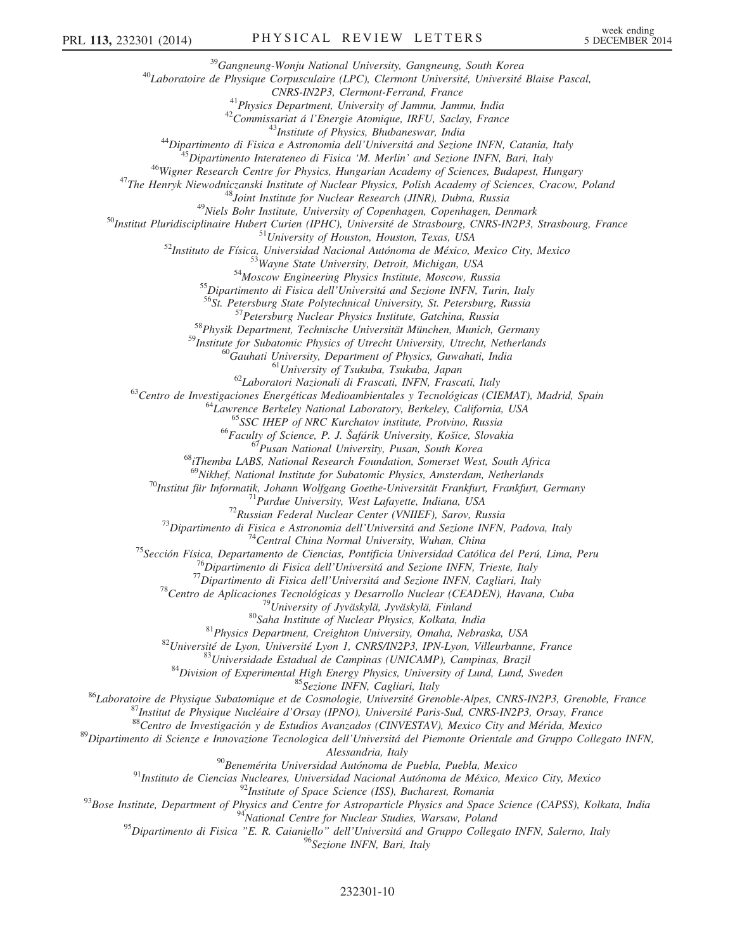<sup>39</sup>Gangneung-Wonju National University, Gangneung, South Korea<br><sup>40</sup>Laboratoire de Physique Corpusculaire (LPC), Clermont Université, Université Blaise Pascal,<br>CNRS-IN2P3, Clermont-Ferrand, France  $\begin{tabular}{c} ^{41} Physics\ Department,\ University\ of\ Jammu,\ Jammu,\ India\\ ^{42} Commissionitat\ a\ L'Energy\ Sambinizus\ H'Energy\ Ammu,\ Jmlia\\ ^{43}Diparitimento\ di\ Fisica\ e\ Astronomia\ dell'University. Shubaneswar, India\\ ^{44}Diparitimento\ the\ Fisica\ e\ Astronomia\ dell'University and Sezione NFN, Catania, Italy\\ ^{45}Diparitmento\ there\ de\ Risica\ M.\ Merilin\ and Sezione NFN, Bari, Ianj  
 ^{46} Wigner Research Center for Physics, Huhin'smca\ M. Merilin\ and Sezione NFS\ Acaemy\ of\ Sciences, C$  $\begin{array}{c} \text{^{60}Gauhat University, Department of Physics, Guwahati, India}\\ \text{^{61}University of Tsukuba, Tsukuba, Japan}\\ \text{^{62}Laboratori Nazionali di Frascati, INFN, Frascati, Italy}\\ \text{^{63}Centro de Investigaciones Energéticas Medioambientales y Tecnológicas (CIEMAT), Madrid, Spain}\\ \text{^{64}Lawrence Berkeley National Laboratory, Berkeley, California, USA}\\ \text{^{65}SC IHEP of NRC Kurchatov institute, Protvino, Russia}\\ \text{^{66}Faculty of Science, P. J. Šafárik University, Košice, Slovakia\\ \text{^{67}Pusan National University, Pusan, South Korea}\\ \text{^{68}Themba LABS$ <sup>69</sup>Nikhef, National Institute for Subatomic Physics, Amsterdam, Netherlands<br>
<sup>69</sup>Institut für Informatik, Johann Wolfgang Goethe-Universitit, Frankfurt, Frankfurt, Germany<br>
<sup>69</sup>Institut für Informatik, Johann Federal Nuc <sup>90</sup>Benemérita Universidad Autónoma de Puebla, Puebla, Mexico<br><sup>91</sup>Instituto de Ciencias Nucleares, Universidad Nacional Autónoma de México, Mexico City, Mexico<br><sup>92</sup>Institute of Space Science (ISS), Bucharest, Romania<br><sup>93</sup>B <sup>95</sup>Dipartimento di Fisica "E. R. Caianiello<sup>"</sup> dell'Universitá and Gruppo Collegato INFN, Salerno, Italy

<sup>96</sup>Sezione INFN, Bari, Italy